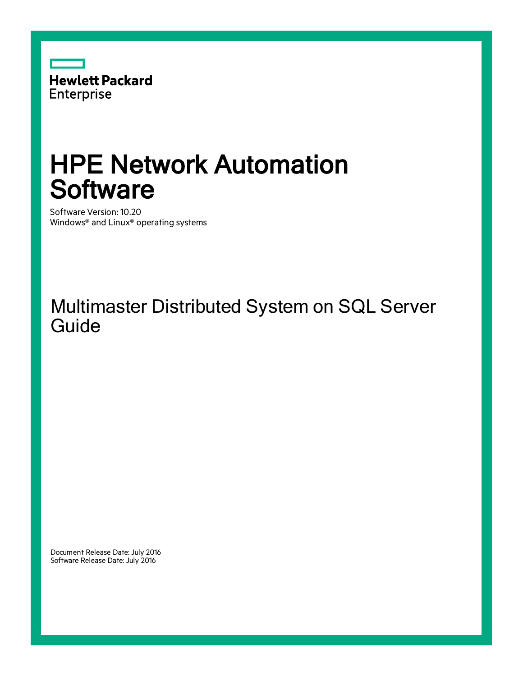

# HPE Network Automation **Software**

Software Version: 10.20 Windows® and Linux® operating systems

### Multimaster Distributed System on SQL Server **Guide**

Document Release Date: July 2016 Software Release Date: July 2016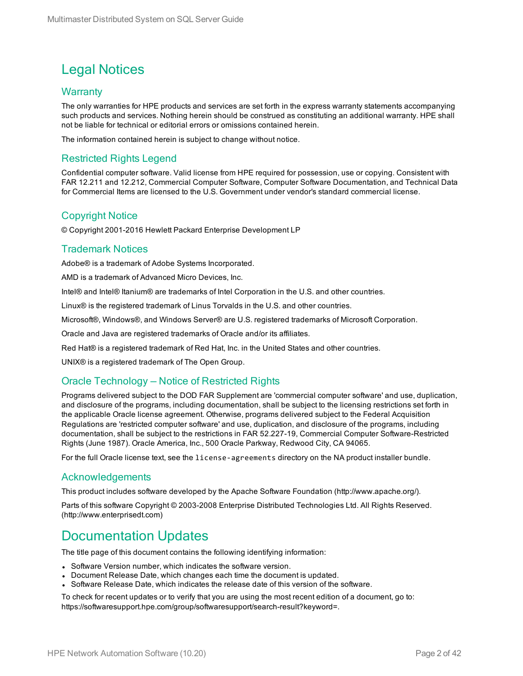#### Legal Notices

#### **Warranty**

The only warranties for HPE products and services are set forth in the express warranty statements accompanying such products and services. Nothing herein should be construed as constituting an additional warranty. HPE shall not be liable for technical or editorial errors or omissions contained herein.

The information contained herein is subject to change without notice.

#### Restricted Rights Legend

Confidential computer software. Valid license from HPE required for possession, use or copying. Consistent with FAR 12.211 and 12.212, Commercial Computer Software, Computer Software Documentation, and Technical Data for Commercial Items are licensed to the U.S. Government under vendor's standard commercial license.

#### Copyright Notice

© Copyright 2001-2016 Hewlett Packard Enterprise Development LP

#### Trademark Notices

Adobe® is a trademark of Adobe Systems Incorporated.

AMD is a trademark of Advanced Micro Devices, Inc.

Intel® and Intel® Itanium® are trademarks of Intel Corporation in the U.S. and other countries.

Linux® is the registered trademark of Linus Torvalds in the U.S. and other countries.

Microsoft®, Windows®, and Windows Server® are U.S. registered trademarks of Microsoft Corporation.

Oracle and Java are registered trademarks of Oracle and/or its affiliates.

Red Hat® is a registered trademark of Red Hat, Inc. in the United States and other countries.

UNIX® is a registered trademark of The Open Group.

#### Oracle Technology — Notice of Restricted Rights

Programs delivered subject to the DOD FAR Supplement are 'commercial computer software' and use, duplication, and disclosure of the programs, including documentation, shall be subject to the licensing restrictions set forth in the applicable Oracle license agreement. Otherwise, programs delivered subject to the Federal Acquisition Regulations are 'restricted computer software' and use, duplication, and disclosure of the programs, including documentation, shall be subject to the restrictions in FAR 52.227-19, Commercial Computer Software-Restricted Rights (June 1987). Oracle America, Inc., 500 Oracle Parkway, Redwood City, CA 94065.

For the full Oracle license text, see the license-agreements directory on the NA product installer bundle.

#### Acknowledgements

This product includes software developed by the Apache Software Foundation (http://www.apache.org/).

Parts of this software Copyright © 2003-2008 Enterprise Distributed Technologies Ltd. All Rights Reserved. (http://www.enterprisedt.com)

#### Documentation Updates

The title page of this document contains the following identifying information:

- Software Version number, which indicates the software version.
- Document Release Date, which changes each time the document is updated.
- Software Release Date, which indicates the release date of this version of the software.

To check for recent updates or to verify that you are using the most recent edition of a document, go to: https://softwaresupport.hpe.com/group/softwaresupport/search-result?keyword=.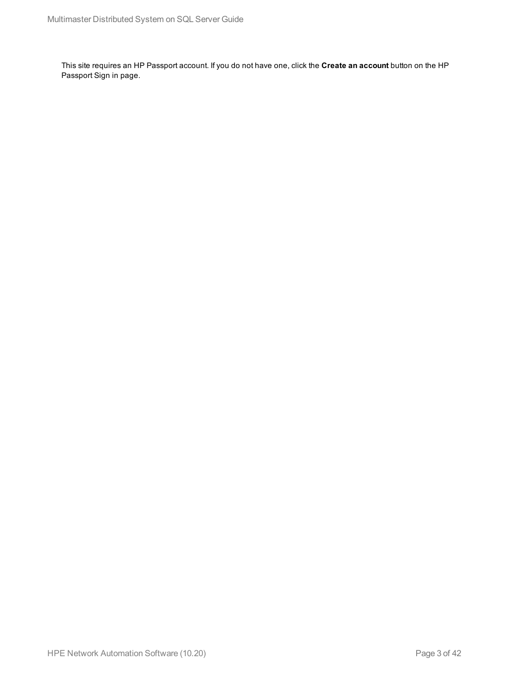This site requires an HP Passport account. If you do not have one, click the **Create an account** button on the HP Passport Sign in page.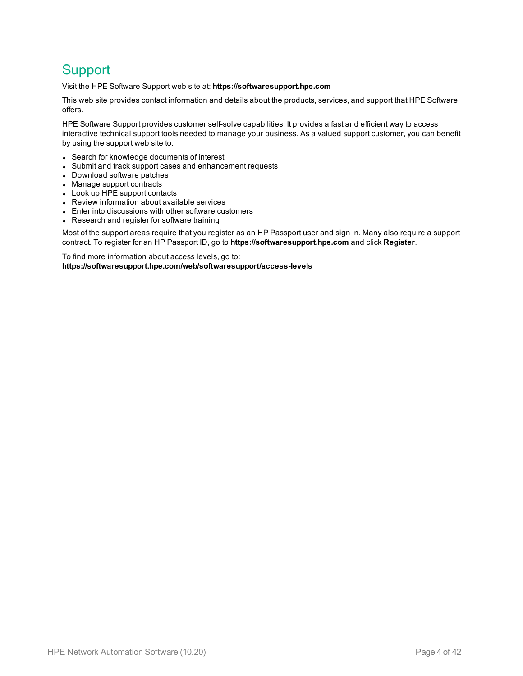#### **Support**

Visit the HPE Software Support web site at: **https://softwaresupport.hpe.com**

This web site provides contact information and details about the products, services, and support that HPE Software offers.

HPE Software Support provides customer self-solve capabilities. It provides a fast and efficient way to access interactive technical support tools needed to manage your business. As a valued support customer, you can benefit by using the support web site to:

- Search for knowledge documents of interest
- Submit and track support cases and enhancement requests
- Download software patches
- Manage support contracts
- Look up HPE support contacts
- Review information about available services
- Enter into discussions with other software customers
- Research and register for software training

Most of the support areas require that you register as an HP Passport user and sign in. Many also require a support contract. To register for an HP Passport ID, go to **https://softwaresupport.hpe.com** and click **Register**.

To find more information about access levels, go to: **https://softwaresupport.hpe.com/web/softwaresupport/access-levels**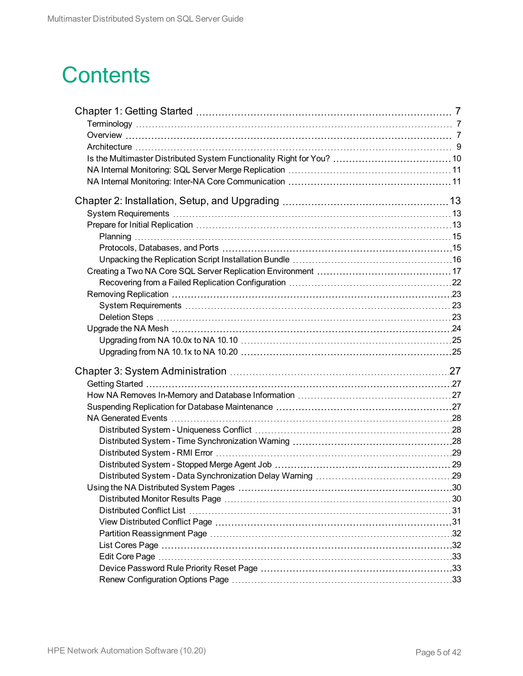# **Contents**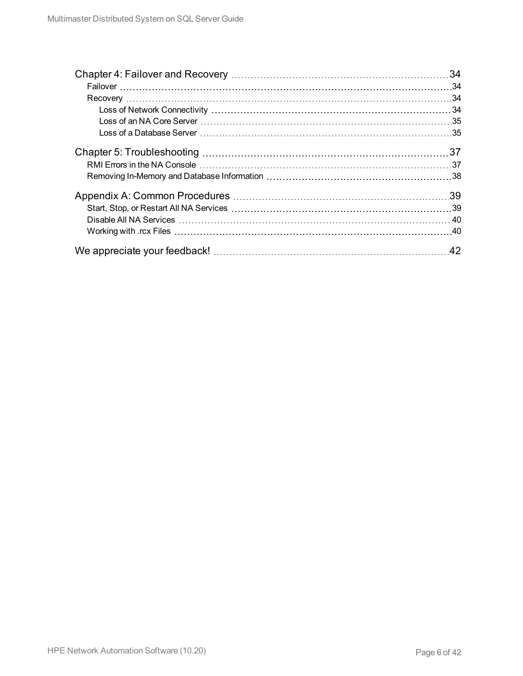| 34  |
|-----|
|     |
|     |
|     |
|     |
|     |
|     |
|     |
|     |
| .39 |
|     |
|     |
|     |
| .42 |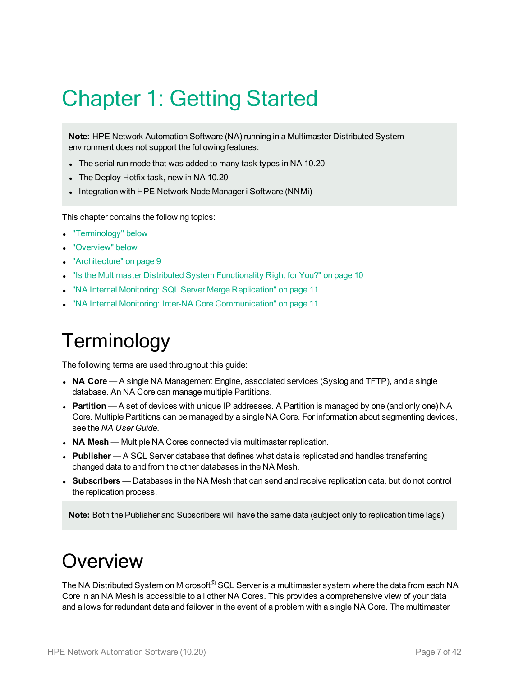# <span id="page-6-0"></span>Chapter 1: Getting Started

**Note:** HPE Network Automation Software (NA) running in a Multimaster Distributed System environment does not support the following features:

- The serial run mode that was added to many task types in NA 10.20
- The Deploy Hotfix task, new in NA 10.20
- Integration with HPE Network Node Manager i Software (NNMi)

This chapter contains the following topics:

- ["Terminology"](#page-6-1) below
- ["Overview"](#page-6-2) below
- ["Architecture"](#page-8-0) on page 9
- "Is the Multimaster Distributed System [Functionality](#page-9-0) Right for You?" on page 10
- . "NA Internal Monitoring: SQL Server Merge [Replication"](#page-10-0) on page 11
- <span id="page-6-1"></span>. "NA Internal Monitoring: Inter-NA Core [Communication"](#page-10-1) on page 11

# **Terminology**

The following terms are used throughout this guide:

- **NA Core** A single NA Management Engine, associated services (Syslog and TFTP), and a single database. An NA Core can manage multiple Partitions.
- Partition A set of devices with unique IP addresses. A Partition is managed by one (and only one) NA Core. Multiple Partitions can be managed by a single NA Core. For information about segmenting devices, see the *NA User Guide*.
- **NA Mesh** Multiple NA Cores connected via multimaster replication.
- **Publisher** A SQL Server database that defines what data is replicated and handles transferring changed data to and from the other databases in the NA Mesh.
- **Subscribers** Databases in the NA Mesh that can send and receive replication data, but do not control the replication process.

<span id="page-6-2"></span>**Note:** Both the Publisher and Subscribers will have the same data (subject only to replication time lags).

# **Overview**

The NA Distributed System on Microsoft<sup>®</sup> SQL Server is a multimaster system where the data from each NA Core in an NA Mesh is accessible to all other NA Cores. This provides a comprehensive view of your data and allows for redundant data and failover in the event of a problem with a single NA Core. The multimaster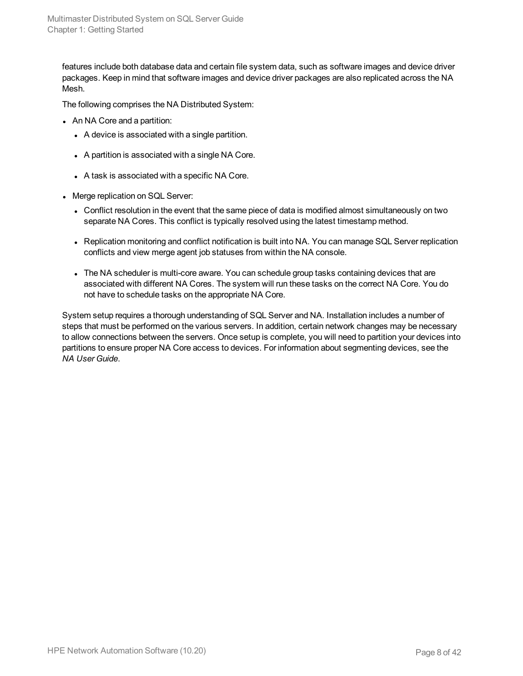features include both database data and certain file system data, such as software images and device driver packages. Keep in mind that software images and device driver packages are also replicated across the NA Mesh.

The following comprises the NA Distributed System:

- An NA Core and a partition:
	- A device is associated with a single partition.
	- A partition is associated with a single NA Core.
	- $\bullet$  A task is associated with a specific NA Core.
- Merge replication on SQL Server:
	- Conflict resolution in the event that the same piece of data is modified almost simultaneously on two separate NA Cores. This conflict is typically resolved using the latest timestamp method.
	- Replication monitoring and conflict notification is built into NA. You can manage SQL Server replication conflicts and view merge agent job statuses from within the NA console.
	- The NA scheduler is multi-core aware. You can schedule group tasks containing devices that are associated with different NA Cores. The system will run these tasks on the correct NA Core. You do not have to schedule tasks on the appropriate NA Core.

System setup requires a thorough understanding of SQL Server and NA. Installation includes a number of steps that must be performed on the various servers. In addition, certain network changes may be necessary to allow connections between the servers. Once setup is complete, you will need to partition your devices into partitions to ensure proper NA Core access to devices. For information about segmenting devices, see the *NA User Guide*.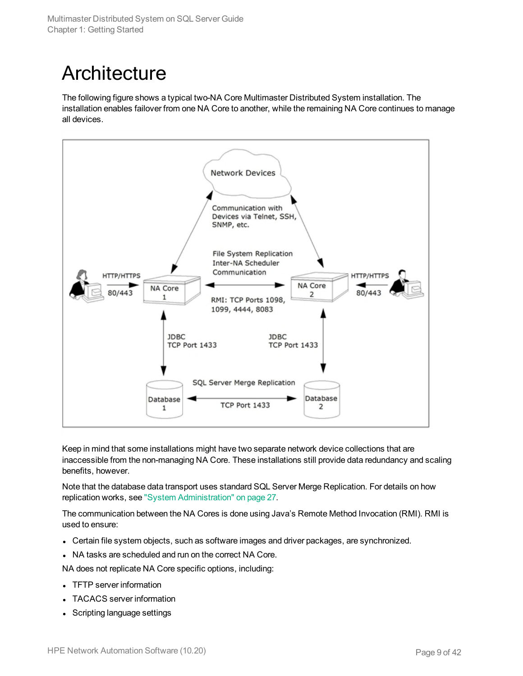# <span id="page-8-0"></span>**Architecture**

The following figure shows a typical two-NA Core Multimaster Distributed System installation. The installation enables failover from one NA Core to another, while the remaining NA Core continues to manage all devices.



Keep in mind that some installations might have two separate network device collections that are inaccessible from the non-managing NA Core. These installations still provide data redundancy and scaling benefits, however.

Note that the database data transport uses standard SQL Server Merge Replication. For details on how replication works, see "System [Administration"](#page-26-0) on page 27.

The communication between the NA Cores is done using Java's Remote Method Invocation (RMI). RMI is used to ensure:

- Certain file system objects, such as software images and driver packages, are synchronized.
- NA tasks are scheduled and run on the correct NA Core.

NA does not replicate NA Core specific options, including:

- TFTP server information
- TACACS server information
- Scripting language settings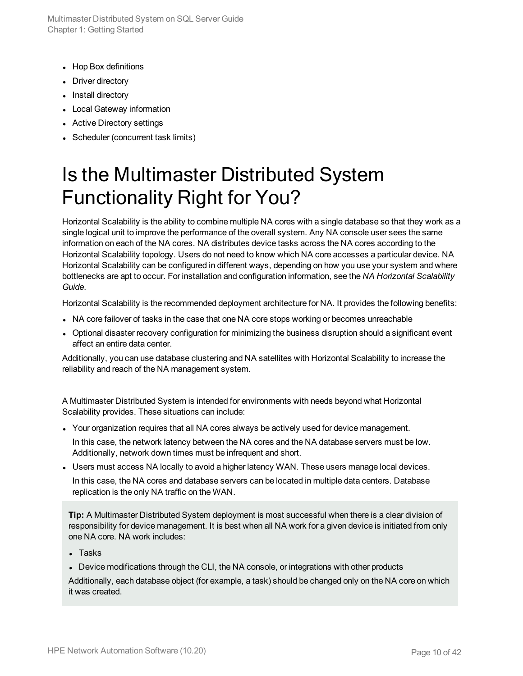Multimaster Distributed System on SQL Server Guide Chapter 1: Getting Started

- Hop Box definitions
- Driver directory
- Install directory
- Local Gateway information
- Active Directory settings
- <span id="page-9-0"></span>• Scheduler (concurrent task limits)

# Is the Multimaster Distributed System Functionality Right for You?

Horizontal Scalability is the ability to combine multiple NA cores with a single database so that they work as a single logical unit to improve the performance of the overall system. Any NA console user sees the same information on each of the NA cores. NA distributes device tasks across the NA cores according to the Horizontal Scalability topology. Users do not need to know which NA core accesses a particular device. NA Horizontal Scalability can be configured in different ways, depending on how you use your system and where bottlenecks are apt to occur. For installation and configuration information, see the *NA Horizontal Scalability Guide*.

Horizontal Scalability is the recommended deployment architecture for NA. It provides the following benefits:

- NA core failover of tasks in the case that one NA core stops working or becomes unreachable
- Optional disaster recovery configuration for minimizing the business disruption should a significant event affect an entire data center.

Additionally, you can use database clustering and NA satellites with Horizontal Scalability to increase the reliability and reach of the NA management system.

A Multimaster Distributed System is intended for environments with needs beyond what Horizontal Scalability provides. These situations can include:

• Your organization requires that all NA cores always be actively used for device management.

In this case, the network latency between the NA cores and the NA database servers must be low. Additionally, network down times must be infrequent and short.

• Users must access NA locally to avoid a higher latency WAN. These users manage local devices. In this case, the NA cores and database servers can be located in multiple data centers. Database replication is the only NA traffic on the WAN.

**Tip:** A Multimaster Distributed System deployment is most successful when there is a clear division of responsibility for device management. It is best when all NA work for a given device is initiated from only one NA core. NA work includes:

- $\blacksquare$  Tasks
- Device modifications through the CLI, the NA console, or integrations with other products

Additionally, each database object (for example, a task) should be changed only on the NA core on which it was created.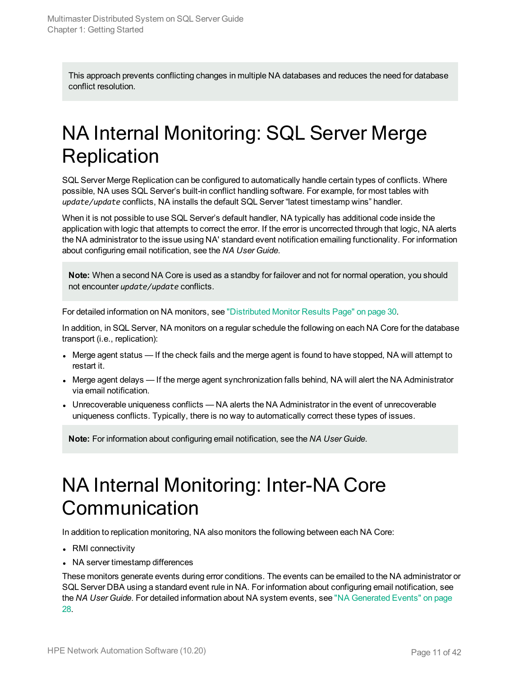This approach prevents conflicting changes in multiple NA databases and reduces the need for database conflict resolution.

# <span id="page-10-0"></span>NA Internal Monitoring: SQL Server Merge **Replication**

SQL Server Merge Replication can be configured to automatically handle certain types of conflicts. Where possible, NA uses SQL Server's built-in conflict handling software. For example, for most tables with *update/update* conflicts, NA installs the default SQL Server "latest timestamp wins" handler.

When it is not possible to use SQL Server's default handler, NA typically has additional code inside the application with logic that attempts to correct the error. If the error is uncorrected through that logic, NA alerts the NA administrator to the issue using NA' standard event notification emailing functionality. For information about configuring email notification, see the *NA User Guide*.

**Note:** When a second NA Core is used as a standby for failover and not for normal operation, you should not encounter *update/update* conflicts.

For detailed information on NA monitors, see ["Distributed](#page-29-1) Monitor Results Page" on page 30.

In addition, in SQL Server, NA monitors on a regular schedule the following on each NA Core for the database transport (i.e., replication):

- Merge agent status If the check fails and the merge agent is found to have stopped, NA will attempt to restart it.
- Merge agent delays If the merge agent synchronization falls behind, NA will alert the NA Administrator via email notification.
- Unrecoverable uniqueness conflicts NA alerts the NA Administrator in the event of unrecoverable uniqueness conflicts. Typically, there is no way to automatically correct these types of issues.

<span id="page-10-1"></span>**Note:** For information about configuring email notification, see the *NA User Guide*.

# NA Internal Monitoring: Inter-NA Core **Communication**

In addition to replication monitoring, NA also monitors the following between each NA Core:

- RMI connectivity
- NA server timestamp differences

These monitors generate events during error conditions. The events can be emailed to the NA administrator or SQL Server DBA using a standard event rule in NA. For information about configuring email notification, see the *NA User Guide*. For detailed information about NA system events, see "NA [Generated](#page-27-0) Events" on page [28](#page-27-0).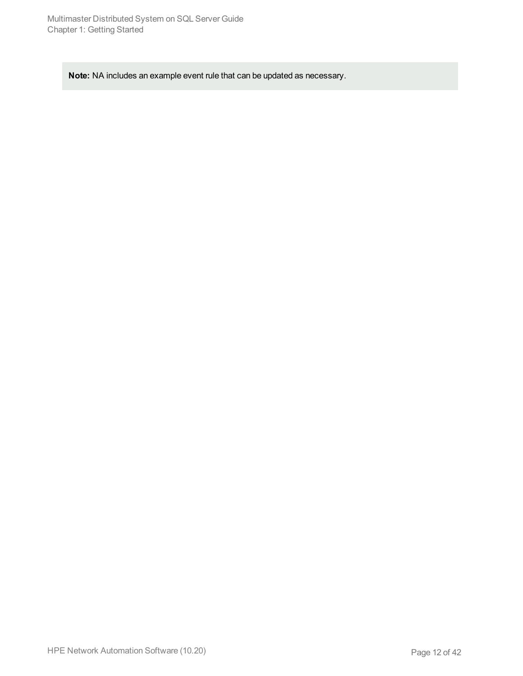**Note:** NA includes an example event rule that can be updated as necessary.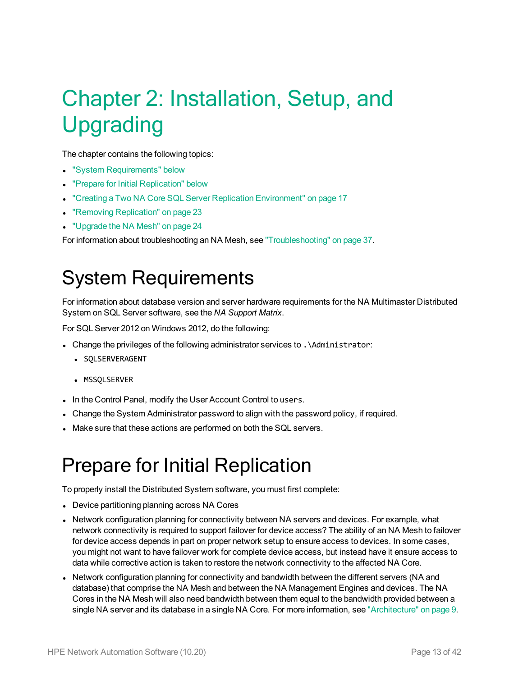# <span id="page-12-0"></span>Chapter 2: Installation, Setup, and Upgrading

The chapter contains the following topics:

- "System [Requirements"](#page-12-1) below
- "Prepare for Initial [Replication"](#page-12-2) below
- "Creating a Two NA Core SQL Server Replication [Environment"](#page-16-0) on page 17
- "Removing [Replication"](#page-22-0) on page 23
- ["Upgrade](#page-23-0) the NA Mesh" on page 24

<span id="page-12-1"></span>For information about troubleshooting an NA Mesh, see ["Troubleshooting"](#page-36-0) on page 37.

## System Requirements

For information about database version and server hardware requirements for the NA Multimaster Distributed System on SQL Server software, see the *NA Support Matrix*.

For SQL Server 2012 on Windows 2012, do the following:

- . Change the privileges of the following administrator services to .\Administrator:
	- **· SOLSERVERAGENT**
	- MSSOLSERVER
- In the Control Panel, modify the User Account Control to users.
- Change the System Administrator password to align with the password policy, if required.
- <span id="page-12-2"></span>. Make sure that these actions are performed on both the SQL servers.

## Prepare for Initial Replication

To properly install the Distributed System software, you must first complete:

- Device partitioning planning across NA Cores
- Network configuration planning for connectivity between NA servers and devices. For example, what network connectivity is required to support failover for device access? The ability of an NA Mesh to failover for device access depends in part on proper network setup to ensure access to devices. In some cases, you might not want to have failover work for complete device access, but instead have it ensure access to data while corrective action is taken to restore the network connectivity to the affected NA Core.
- Network configuration planning for connectivity and bandwidth between the different servers (NA and database) that comprise the NA Mesh and between the NA Management Engines and devices. The NA Cores in the NA Mesh will also need bandwidth between them equal to the bandwidth provided between a single NA server and its database in a single NA Core. For more information, see ["Architecture"](#page-8-0) on page 9.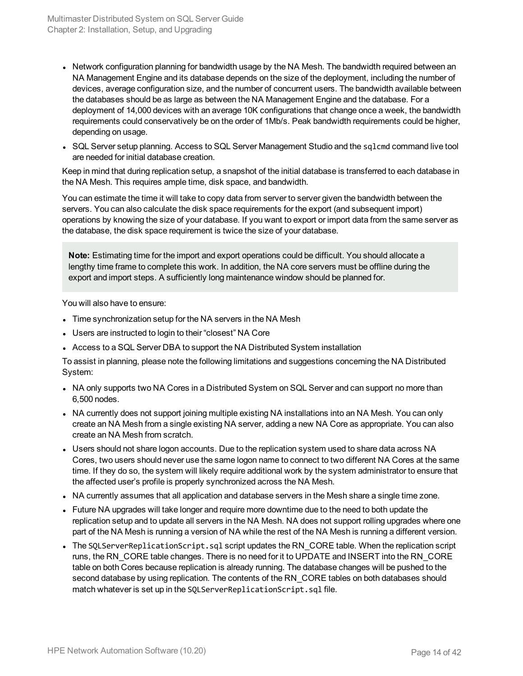- Network configuration planning for bandwidth usage by the NA Mesh. The bandwidth required between an NA Management Engine and its database depends on the size of the deployment, including the number of devices, average configuration size, and the number of concurrent users. The bandwidth available between the databases should be as large as between the NA Management Engine and the database. For a deployment of 14,000 devices with an average 10K configurations that change once a week, the bandwidth requirements could conservatively be on the order of 1Mb/s. Peak bandwidth requirements could be higher, depending on usage.
- SQL Server setup planning. Access to SQL Server Management Studio and the sglcmd command live tool are needed for initial database creation.

Keep in mind that during replication setup, a snapshot of the initial database is transferred to each database in the NA Mesh. This requires ample time, disk space, and bandwidth.

You can estimate the time it will take to copy data from server to server given the bandwidth between the servers. You can also calculate the disk space requirements for the export (and subsequent import) operations by knowing the size of your database. If you want to export or import data from the same server as the database, the disk space requirement is twice the size of your database.

**Note:** Estimating time for the import and export operations could be difficult. You should allocate a lengthy time frame to complete this work. In addition, the NA core servers must be offline during the export and import steps. A sufficiently long maintenance window should be planned for.

You will also have to ensure:

- Time synchronization setup for the NA servers in the NA Mesh
- Users are instructed to login to their "closest" NA Core
- Access to a SQL Server DBA to support the NA Distributed System installation

To assist in planning, please note the following limitations and suggestions concerning the NA Distributed System:

- NA only supports two NA Cores in a Distributed System on SQL Server and can support no more than 6,500 nodes.
- NA currently does not support joining multiple existing NA installations into an NA Mesh. You can only create an NA Mesh from a single existing NA server, adding a new NA Core as appropriate. You can also create an NA Mesh from scratch.
- Users should not share logon accounts. Due to the replication system used to share data across NA Cores, two users should never use the same logon name to connect to two different NA Cores at the same time. If they do so, the system will likely require additional work by the system administrator to ensure that the affected user's profile is properly synchronized across the NA Mesh.
- NA currently assumes that all application and database servers in the Mesh share a single time zone.
- Future NA upgrades will take longer and require more downtime due to the need to both update the replication setup and to update all servers in the NA Mesh. NA does not support rolling upgrades where one part of the NA Mesh is running a version of NA while the rest of the NA Mesh is running a different version.
- The SOLServerReplicationScript.sql script updates the RN CORE table. When the replication script runs, the RN CORE table changes. There is no need for it to UPDATE and INSERT into the RN CORE table on both Cores because replication is already running. The database changes will be pushed to the second database by using replication. The contents of the RN CORE tables on both databases should match whatever is set up in the SQLServerReplicationScript.sql file.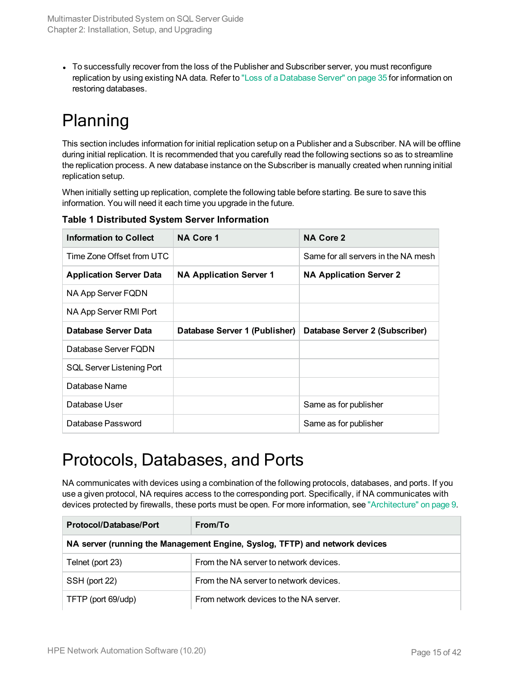• To successfully recover from the loss of the Publisher and Subscriber server, you must reconfigure replication by using existing NA data. Refer to "Loss of a [Database](#page-34-1) Server" on page 35 for information on restoring databases.

## <span id="page-14-0"></span>Planning

This section includes information for initial replication setup on a Publisher and a Subscriber. NA will be offline during initial replication. It is recommended that you carefully read the following sections so as to streamline the replication process. A new database instance on the Subscriber is manually created when running initial replication setup.

When initially setting up replication, complete the following table before starting. Be sure to save this information. You will need it each time you upgrade in the future.

| Information to Collect         | <b>NA Core 1</b>               | <b>NA Core 2</b>                    |
|--------------------------------|--------------------------------|-------------------------------------|
| Time Zone Offset from UTC      |                                | Same for all servers in the NA mesh |
| <b>Application Server Data</b> | <b>NA Application Server 1</b> | <b>NA Application Server 2</b>      |
| NA App Server FQDN             |                                |                                     |
| NA App Server RMI Port         |                                |                                     |
| Database Server Data           | Database Server 1 (Publisher)  | Database Server 2 (Subscriber)      |
| Database Server FODN           |                                |                                     |
| SQL Server Listening Port      |                                |                                     |
| Database Name                  |                                |                                     |
| Database User                  |                                | Same as for publisher               |
| Database Password              |                                | Same as for publisher               |

**Table 1 Distributed System Server Information**

### <span id="page-14-1"></span>Protocols, Databases, and Ports

NA communicates with devices using a combination of the following protocols, databases, and ports. If you use a given protocol, NA requires access to the corresponding port. Specifically, if NA communicates with devices protected by firewalls, these ports must be open. For more information, see ["Architecture"](#page-8-0) on page 9.

| <b>Protocol/Database/Port</b>                                               | From/To                                |  |
|-----------------------------------------------------------------------------|----------------------------------------|--|
| NA server (running the Management Engine, Syslog, TFTP) and network devices |                                        |  |
| Telnet (port 23)                                                            | From the NA server to network devices. |  |
| SSH (port 22)                                                               | From the NA server to network devices. |  |
| TFTP (port 69/udp)                                                          | From network devices to the NA server. |  |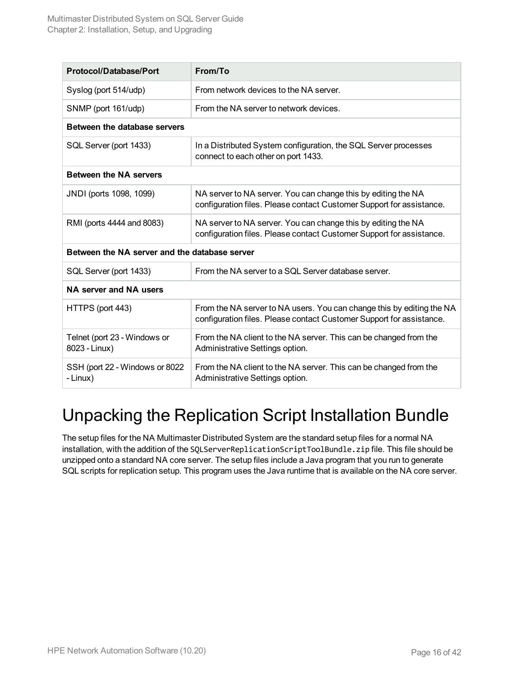| Protocol/Database/Port                        | From/To                                                                                                                                       |
|-----------------------------------------------|-----------------------------------------------------------------------------------------------------------------------------------------------|
| Syslog (port 514/udp)                         | From network devices to the NA server.                                                                                                        |
| SNMP (port 161/udp)                           | From the NA server to network devices.                                                                                                        |
| Between the database servers                  |                                                                                                                                               |
| SQL Server (port 1433)                        | In a Distributed System configuration, the SQL Server processes<br>connect to each other on port 1433.                                        |
| <b>Between the NA servers</b>                 |                                                                                                                                               |
| JNDI (ports 1098, 1099)                       | NA server to NA server. You can change this by editing the NA<br>configuration files. Please contact Customer Support for assistance.         |
| RMI (ports 4444 and 8083)                     | NA server to NA server. You can change this by editing the NA<br>configuration files. Please contact Customer Support for assistance.         |
| Between the NA server and the database server |                                                                                                                                               |
| SQL Server (port 1433)                        | From the NA server to a SQL Server database server.                                                                                           |
| NA server and NA users                        |                                                                                                                                               |
| HTTPS (port 443)                              | From the NA server to NA users. You can change this by editing the NA<br>configuration files. Please contact Customer Support for assistance. |
| Telnet (port 23 - Windows or<br>8023 - Linux) | From the NA client to the NA server. This can be changed from the<br>Administrative Settings option.                                          |
| SSH (port 22 - Windows or 8022<br>- Linux)    | From the NA client to the NA server. This can be changed from the<br>Administrative Settings option.                                          |

### <span id="page-15-0"></span>Unpacking the Replication Script Installation Bundle

The setup files for the NA Multimaster Distributed System are the standard setup files for a normal NA installation, with the addition of the SQLServerReplicationScriptToolBundle.zip file. This file should be unzipped onto a standard NA core server. The setup files include a Java program that you run to generate SQL scripts for replication setup. This program uses the Java runtime that is available on the NA core server.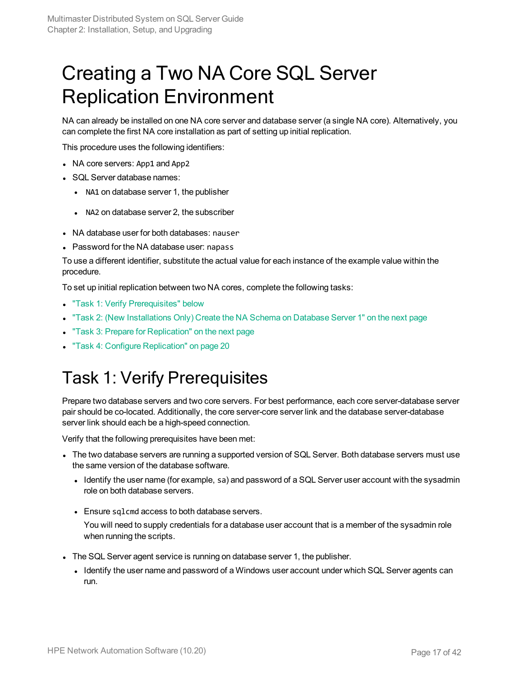# <span id="page-16-0"></span>Creating a Two NA Core SQL Server Replication Environment

NA can already be installed on one NA core server and database server (a single NA core). Alternatively, you can complete the first NA core installation as part of setting up initial replication.

This procedure uses the following identifiers:

- NA core servers: App1 and App2
- SQL Server database names:
	- NA1 on database server 1, the publisher
	- NA2 on database server 2, the subscriber
- NA database user for both databases: nauser
- Password for the NA database user: napass

To use a different identifier, substitute the actual value for each instance of the example value within the procedure.

To set up initial replication between two NA cores, complete the following tasks:

- "Task 1: Verify [Prerequisites"](#page-16-1) below
- "Task 2: (New [Installations](#page-17-0) Only) Create the NA Schema on Database Server 1" on the next page
- **"Task 3: Prepare for [Replication"](#page-17-1) on the next page**
- <span id="page-16-1"></span>**.** "Task 4: Configure [Replication"](#page-19-0) on page 20

### Task 1: Verify Prerequisites

Prepare two database servers and two core servers. For best performance, each core server-database server pair should be co-located. Additionally, the core server-core server link and the database server-database server link should each be a high-speed connection.

Verify that the following prerequisites have been met:

- The two database servers are running a supported version of SQL Server. Both database servers must use the same version of the database software.
	- Identify the user name (for example, sa) and password of a SQL Server user account with the sysadmin role on both database servers.
	- Ensure sqlcmd access to both database servers.

You will need to supply credentials for a database user account that is a member of the sysadmin role when running the scripts.

- The SQL Server agent service is running on database server 1, the publisher.
	- Identify the user name and password of a Windows user account under which SQL Server agents can run.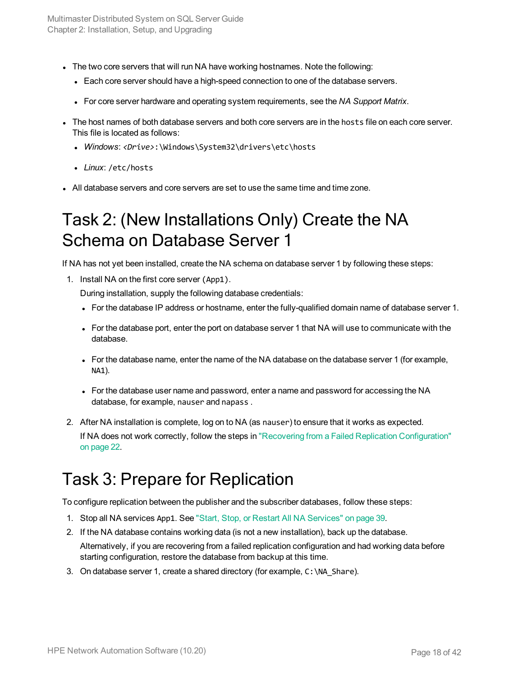- I The two core servers that will run NA have working hostnames. Note the following:
	- Each core server should have a high-speed connection to one of the database servers.
	- <sup>l</sup> For core server hardware and operating system requirements, see the *NA Support Matrix*.
- The host names of both database servers and both core servers are in the hosts file on each core server. This file is located as follows:
	- <sup>l</sup> *Windows*: *<Drive>*:\Windows\System32\drivers\etc\hosts
	- Linux: /etc/hosts
- <span id="page-17-0"></span><sup>l</sup> All database servers and core servers are set to use the same time and time zone.

#### Task 2: (New Installations Only) Create the NA Schema on Database Server 1

If NA has not yet been installed, create the NA schema on database server 1 by following these steps:

1. Install NA on the first core server (App1).

During installation, supply the following database credentials:

- For the database IP address or hostname, enter the fully-qualified domain name of database server 1.
- For the database port, enter the port on database server 1 that NA will use to communicate with the database.
- For the database name, enter the name of the NA database on the database server 1 (for example, NA1).
- For the database user name and password, enter a name and password for accessing the NA database, for example, nauser and napass .
- 2. After NA installation is complete, log on to NA (as nauser) to ensure that it works as expected. If NA does not work correctly, follow the steps in "Recovering from a Failed Replication [Configuration"](#page-21-0) on [page](#page-21-0) 22.

### <span id="page-17-1"></span>Task 3: Prepare for Replication

To configure replication between the publisher and the subscriber databases, follow these steps:

- 1. Stop all NA services App1. See "Start, Stop, or Restart All NA [Services"](#page-38-1) on page 39.
- 2. If the NA database contains working data (is not a new installation), back up the database.

<span id="page-17-2"></span>Alternatively, if you are recovering from a failed replication configuration and had working data before starting configuration, restore the database from backup at this time.

3. On database server 1, create a shared directory (for example,  $C:\NA$  Share).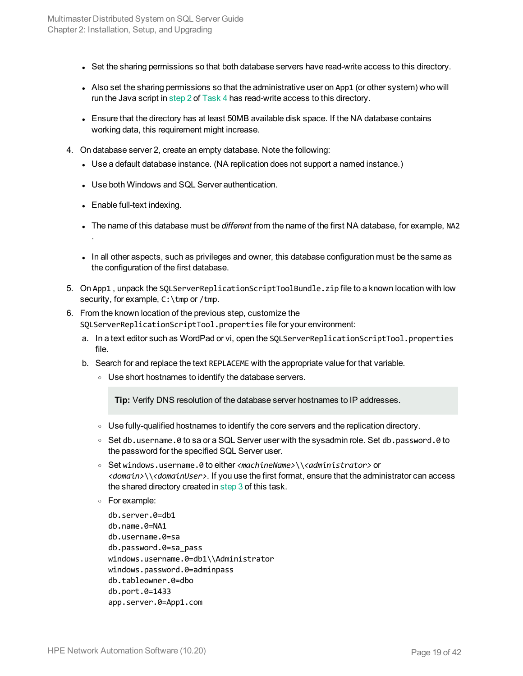- Set the sharing permissions so that both database servers have read-write access to this directory.
- Also set the sharing permissions so that the administrative user on App1 (or other system) who will run the Java script in [step 2](#page-19-1) of [Task 4](#page-19-0) has read-write access to this directory.
- Ensure that the directory has at least 50MB available disk space. If the NA database contains working data, this requirement might increase.
- 4. On database server 2, create an empty database. Note the following:
	- Use a default database instance. (NA replication does not support a named instance.)
	- Use both Windows and SQL Server authentication.
	- $\bullet$  Enable full-text indexing.

.

- The name of this database must be *different* from the name of the first NA database, for example, NA2
- In all other aspects, such as privileges and owner, this database configuration must be the same as the configuration of the first database.
- <span id="page-18-0"></span>5. On App1 , unpack the SQLServerReplicationScriptToolBundle.zip file to a known location with low security, for example, C: \tmp or /tmp.
- <span id="page-18-1"></span>6. From the known location of the previous step, customize the SQLServerReplicationScriptTool.properties file for your environment:
	- a. In a text editor such as WordPad or vi, open the SQLServerReplicationScriptTool.properties file.
	- b. Search for and replace the text REPLACEME with the appropriate value for that variable.
		- <sup>o</sup> Use short hostnames to identify the database servers.

**Tip:** Verify DNS resolution of the database server hostnames to IP addresses.

- $\circ$  Use fully-qualified hostnames to identify the core servers and the replication directory.
- $\circ$  Set db.username.0 to sa or a SQL Server user with the sysadmin role. Set db.password.0 to the password for the specified SQL Server user.
- <sup>o</sup> Set windows.username.0 to either *<machineName>*\\*<administrator>* or *<domain>*\\*<domainUser>*. If you use the first format, ensure that the administrator can access the shared directory created in [step 3](#page-17-2) of this task.
- <sup>o</sup> For example:

```
db.server.0=db1
db.name.0=NA1
db.username.0=sa
db.password.0=sa_pass
windows.username.0=db1\\Administrator
windows.password.0=adminpass
db.tableowner.0=dbo
db.port.0=1433
app.server.0=App1.com
```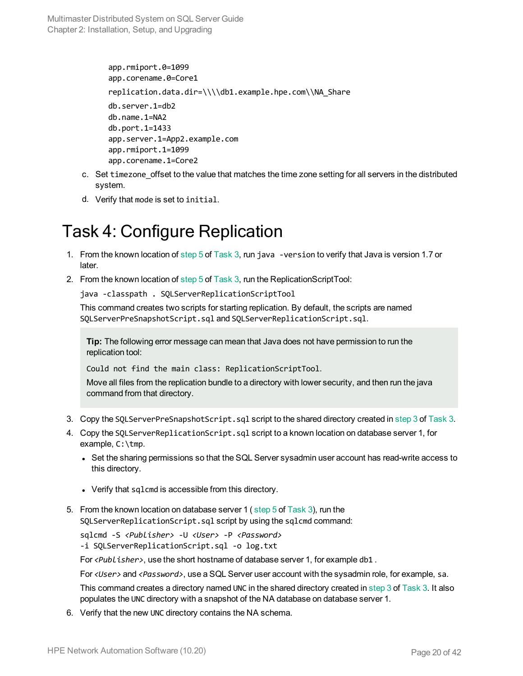```
app.rmiport.0=1099
app.corename.0=Core1
replication.data.dir=\\\\db1.example.hpe.com\\NA_Share
db.server.1=db2
db.name.1=NA2
db.port.1=1433
app.server.1=App2.example.com
app.rmiport.1=1099
app.corename.1=Core2
```
- c. Set timezone offset to the value that matches the time zone setting for all servers in the distributed system.
- <span id="page-19-0"></span>d. Verify that mode is set to initial.

### Task 4: Configure Replication

- 1. From the known location of [step 5](#page-18-0) of [Task 3,](#page-17-1) run java -version to verify that Java is version 1.7 or later.
- <span id="page-19-1"></span>2. From the known location of [step 5](#page-18-0) of [Task 3,](#page-17-1) run the ReplicationScriptTool:

java -classpath . SQLServerReplicationScriptTool

This command creates two scripts for starting replication. By default, the scripts are named SQLServerPreSnapshotScript.sql and SQLServerReplicationScript.sql.

**Tip:** The following error message can mean that Java does not have permission to run the replication tool:

Could not find the main class: ReplicationScriptTool.

Move all files from the replication bundle to a directory with lower security, and then run the java command from that directory.

- 3. Copy the SQLServerPreSnapshotScript.sql script to the shared directory created in [step](#page-17-2) 3 of [Task](#page-17-1) 3.
- 4. Copy the SQLServerReplicationScript.sql script to a known location on database server 1, for example, C:\tmp.
	- Set the sharing permissions so that the SQL Server sysadmin user account has read-write access to this directory.
	- Verify that sqlcmd is accessible from this directory.
- 5. From the known location on database server 1 (step 5 of [Task](#page-17-1) 3), run the SQLServerReplicationScript.sql script by using the sqlcmd command:

sqlcmd -S *<Publisher>* -U *<User>* -P *<Password>* -i SQLServerReplicationScript.sql -o log.txt

For <Publisher>, use the short hostname of database server 1, for example db1.

For *<User>* and *<Password>*, use a SQL Server user account with the sysadmin role, for example, sa.

This command creates a directory named UNC in the shared directory created in [step 3](#page-17-2) of [Task 3](#page-17-1). It also populates the UNC directory with a snapshot of the NA database on database server 1.

6. Verify that the new UNC directory contains the NA schema.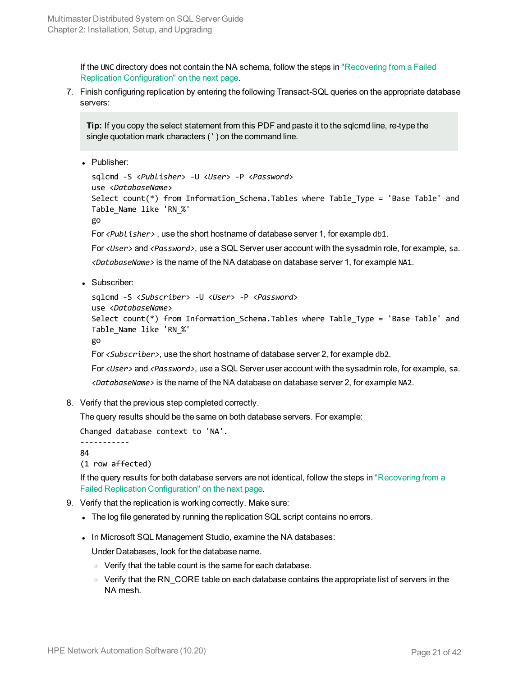If the UNC directory does not contain the NA schema, follow the steps in ["Recovering](#page-21-0) from a Failed Replication [Configuration"](#page-21-0) on the next page.

7. Finish configuring replication by entering the following Transact-SQL queries on the appropriate database servers:

**Tip:** If you copy the select statement from this PDF and paste it to the sqlcmd line, re-type the single quotation mark characters ( ' ) on the command line.

• Publisher:

```
sqlcmd -S <Publisher> -U <User> -P <Password>
use <DatabaseName>
Select count(*) from Information_Schema.Tables where Table_Type = 'Base Table' and
Table_Name like 'RN_%'
go
```
For *<Publisher>* , use the short hostname of database server 1, for example db1.

For *<User>* and *<Password>*, use a SQL Server user account with the sysadmin role, for example, sa. *<DatabaseName>* is the name of the NA database on database server 1, for example NA1.

• Subscriber:

```
sqlcmd -S <Subscriber> -U <User> -P <Password>
use <DatabaseName>
Select count(*) from Information Schema.Tables where Table Type = 'Base Table' and
Table_Name like 'RN_%'
go
For <Subscriber>, use the short hostname of database server 2, for example db2.
For <User> and <Password>, use a SQL Server user account with the sysadmin role, for example, sa.
```
*<DatabaseName>* is the name of the NA database on database server 2, for example NA2.

8. Verify that the previous step completed correctly.

The query results should be the same on both database servers. For example:

```
Changed database context to 'NA'.
```
----------- 84

```
(1 row affected)
```
If the query results for both database servers are not identical, follow the steps in ["Recovering](#page-21-0) from a Failed Replication [Configuration"](#page-21-0) on the next page.

- 9. Verify that the replication is working correctly. Make sure:
	- The log file generated by running the replication SQL script contains no errors.
	- . In Microsoft SQL Management Studio, examine the NA databases:

Under Databases, look for the database name.

- Verify that the table count is the same for each database.
- $\circ$  Verify that the RN\_CORE table on each database contains the appropriate list of servers in the NA mesh.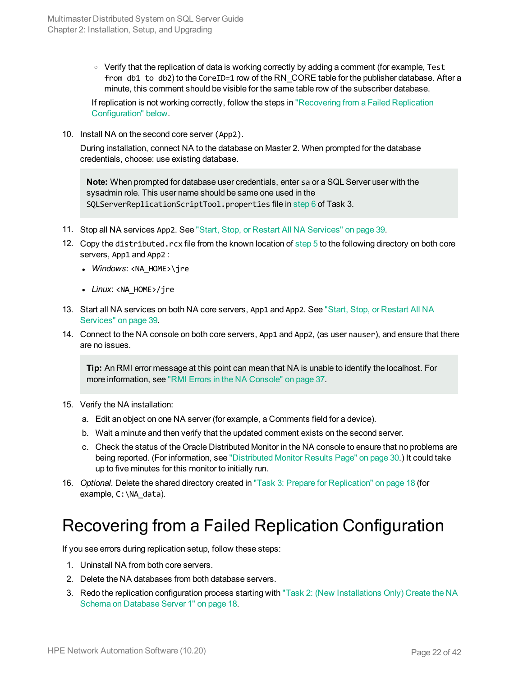$\circ$  Verify that the replication of data is working correctly by adding a comment (for example, Test from db1 to db2) to the CoreID=1 row of the RN CORE table for the publisher database. After a minute, this comment should be visible for the same table row of the subscriber database.

If replication is not working correctly, follow the steps in ["Recovering](#page-21-0) from a Failed Replication [Configuration"](#page-21-0) below.

10. Install NA on the second core server (App2).

During installation, connect NA to the database on Master 2. When prompted for the database credentials, choose: use existing database.

**Note:** When prompted for database user credentials, enter sa or a SQL Server user with the sysadmin role. This user name should be same one used in the SQLServerReplicationScriptTool.properties file in [step 6](#page-18-1) of Task 3.

- 11. Stop all NA services App2. See "Start, Stop, or Restart All NA [Services"](#page-38-1) on page 39.
- 12. Copy the distributed.rcx file from the known location of [step 5](#page-18-0) to the following directory on both core servers, App1 and App2 :
	- *Windows*: <NA\_HOME>\ire
	- *Linux*: <NA HOME>/jre
- 13. Start all NA services on both NA core servers, App1 and App2. See "Start, Stop, or [Restart](#page-38-1) All NA [Services"](#page-38-1) on page 39.
- 14. Connect to the NA console on both core servers, App1 and App2, (as user nauser), and ensure that there are no issues.

**Tip:** An RMI error message at this point can mean that NA is unable to identify the localhost. For more information, see "RMI Errors in the NA [Console"](#page-36-1) on page 37.

- 15. Verify the NA installation:
	- a. Edit an object on one NA server (for example, a Comments field for a device).
	- b. Wait a minute and then verify that the updated comment exists on the second server.
	- c. Check the status of the Oracle Distributed Monitor in the NA console to ensure that no problems are being reported. (For information, see ["Distributed](#page-29-1) Monitor Results Page" on page 30.) It could take up to five minutes for this monitor to initially run.
- <span id="page-21-0"></span>16. *Optional*. Delete the shared directory created in "Task 3: Prepare for [Replication"](#page-17-1) on page 18 (for example, C: \NA\_data).

### Recovering from a Failed Replication Configuration

If you see errors during replication setup, follow these steps:

- 1. Uninstall NA from both core servers.
- 2. Delete the NA databases from both database servers.
- 3. Redo the replication configuration process starting with "Task 2: (New [Installations](#page-17-0) Only) Create the NA Schema on [Database](#page-17-0) Server 1" on page 18.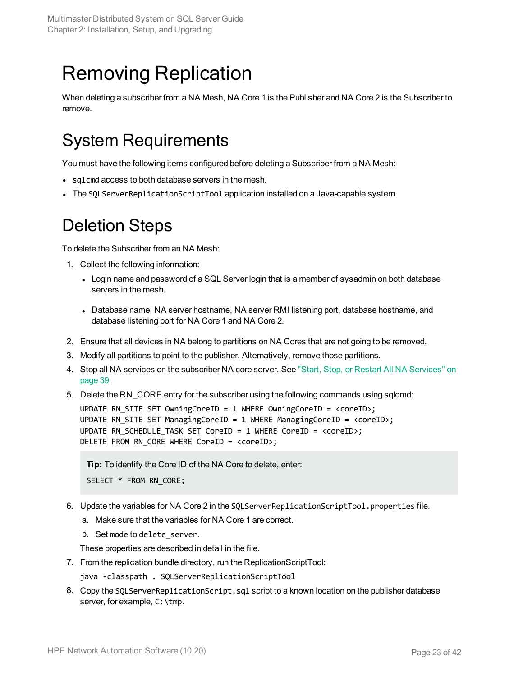# <span id="page-22-0"></span>Removing Replication

<span id="page-22-1"></span>When deleting a subscriber from a NA Mesh, NA Core 1 is the Publisher and NA Core 2 is the Subscriber to remove.

### System Requirements

You must have the following items configured before deleting a Subscriber from a NA Mesh:

- sqlcmd access to both database servers in the mesh.
- <span id="page-22-2"></span>• The SOLServerReplicationScriptTool application installed on a Java-capable system.

#### Deletion Steps

To delete the Subscriber from an NA Mesh:

- 1. Collect the following information:
	- Login name and password of a SQL Server login that is a member of sysadmin on both database servers in the mesh.
	- Database name, NA server hostname, NA server RMI listening port, database hostname, and database listening port for NA Core 1 and NA Core 2.
- 2. Ensure that all devices in NA belong to partitions on NA Cores that are not going to be removed.
- 3. Modify all partitions to point to the publisher. Alternatively, remove those partitions.
- 4. Stop all NA services on the subscriber NA core server. See "Start, Stop, or Restart All NA [Services"](#page-38-1) on [page](#page-38-1) 39.
- 5. Delete the RN\_CORE entry for the subscriber using the following commands using sqlcmd:

UPDATE RN SITE SET OwningCoreID = 1 WHERE OwningCoreID = <coreID>; UPDATE RN\_SITE SET ManagingCoreID = 1 WHERE ManagingCoreID = <coreID>; UPDATE RN SCHEDULE TASK SET CoreID = 1 WHERE CoreID =  $\langle\text{coreID}\rangle$ ; DELETE FROM RN CORE WHERE CoreID = <coreID>;

**Tip:** To identify the Core ID of the NA Core to delete, enter:

```
SELECT * FROM RN CORE;
```
- 6. Update the variables for NA Core 2 in the SQLServerReplicationScriptTool.properties file.
	- a. Make sure that the variables for NA Core 1 are correct.
	- b. Set mode to delete server.

These properties are described in detail in the file.

- 7. From the replication bundle directory, run the ReplicationScriptTool:
	- java -classpath . SQLServerReplicationScriptTool
- <span id="page-22-3"></span>8. Copy the SQLServerReplicationScript.sql script to a known location on the publisher database server, for example, C:\tmp.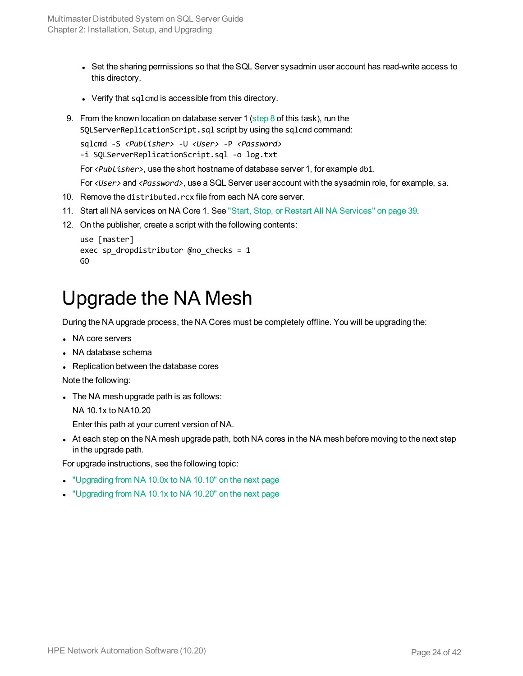- Set the sharing permissions so that the SQL Server sysadmin user account has read-write access to this directory.
- Verify that sqlcmd is accessible from this directory.
- 9. From the known location on database server 1 ([step 8](#page-22-3) of this task), run the SQLServerReplicationScript.sql script by using the sqlcmd command:

```
sqlcmd -S <Publisher> -U <User> -P <Password>
```
-i SQLServerReplicationScript.sql -o log.txt

For *<Publisher>*, use the short hostname of database server 1, for example db1.

For *<User>* and *<Password>*, use a SQL Server user account with the sysadmin role, for example, sa.

- 10. Remove the distributed.rcx file from each NA core server.
- 11. Start all NA services on NA Core 1. See "Start, Stop, or Restart All NA [Services"](#page-38-1) on page 39.
- 12. On the publisher, create a script with the following contents:

```
use [master]
exec sp dropdistributor @no checks = 1
GO
```
## <span id="page-23-0"></span>Upgrade the NA Mesh

During the NA upgrade process, the NA Cores must be completely offline. You will be upgrading the:

- NA core servers
- NA database schema
- Replication between the database cores

Note the following:

 $\bullet$  The NA mesh upgrade path is as follows:

NA 10.1x to NA10.20

Enter this path at your current version of NA.

I At each step on the NA mesh upgrade path, both NA cores in the NA mesh before moving to the next step in the upgrade path.

For upgrade instructions, see the following topic:

- <sup>l</sup> ["Upgrading](#page-24-0) from NA 10.0x to NA 10.10" on the next page
- ["Upgrading](#page-24-1) from NA 10.1x to NA 10.20" on the next page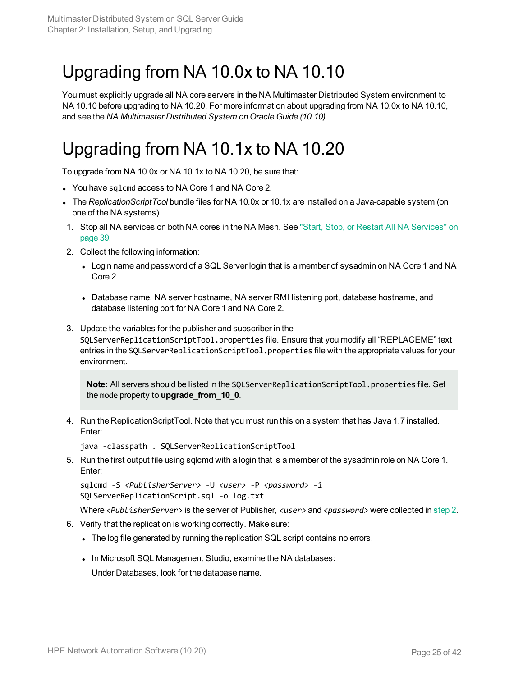## <span id="page-24-0"></span>Upgrading from NA 10.0x to NA 10.10

You must explicitly upgrade all NA core servers in the NA Multimaster Distributed System environment to NA 10.10 before upgrading to NA 10.20. For more information about upgrading from NA 10.0x to NA 10.10, and see the *NA Multimaster Distributed System on Oracle Guide (10.10)*.

## <span id="page-24-1"></span>Upgrading from NA 10.1x to NA 10.20

To upgrade from NA 10.0x or NA 10.1x to NA 10.20, be sure that:

- You have sqlcmd access to NA Core 1 and NA Core 2.
- <sup>l</sup> The *ReplicationScriptTool* bundle files for NA 10.0x or 10.1x are installed on a Java-capable system (on one of the NA systems).
- 1. Stop all NA services on both NA cores in the NA Mesh. See "Start, Stop, or Restart All NA [Services"](#page-38-1) on [page](#page-38-1) 39.
- <span id="page-24-2"></span>2. Collect the following information:
	- Login name and password of a SQL Server login that is a member of sysadmin on NA Core 1 and NA Core 2.
	- Database name, NA server hostname, NA server RMI listening port, database hostname, and database listening port for NA Core 1 and NA Core 2.
- 3. Update the variables for the publisher and subscriber in the SQLServerReplicationScriptTool.properties file. Ensure that you modify all "REPLACEME" text entries in the SQLServerReplicationScriptTool.properties file with the appropriate values for your environment.

**Note:** All servers should be listed in the SQLServerReplicationScriptTool.properties file. Set the mode property to **upgrade\_from\_10\_0**.

<span id="page-24-3"></span>4. Run the ReplicationScriptTool. Note that you must run this on a system that has Java 1.7 installed. Enter:

java -classpath . SQLServerReplicationScriptTool

5. Run the first output file using sqlcmd with a login that is a member of the sysadmin role on NA Core 1. Enter:

```
sqlcmd -S <PublisherServer> -U <user> -P <password> -i
SQLServerReplicationScript.sql -o log.txt
```
Where *<PublisherServer>* is the server of Publisher, *<user>* and *<password>* were collected in [step](#page-24-2) 2.

- 6. Verify that the replication is working correctly. Make sure:
	- If The log file generated by running the replication SQL script contains no errors.
	- . In Microsoft SQL Management Studio, examine the NA databases:
	- Under Databases, look for the database name.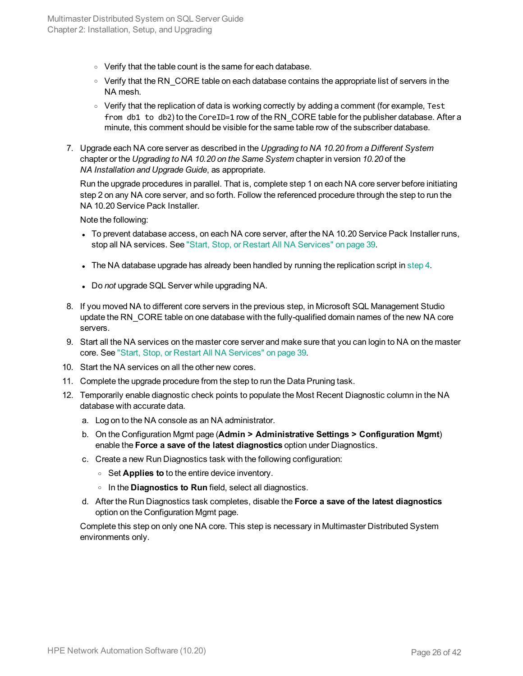- Verify that the table count is the same for each database.
- $\circ$  Verify that the RN CORE table on each database contains the appropriate list of servers in the NA mesh.
- $\circ$  Verify that the replication of data is working correctly by adding a comment (for example, Test from db1 to db2) to the CoreID=1 row of the RN CORE table for the publisher database. After a minute, this comment should be visible for the same table row of the subscriber database.
- 7. Upgrade each NA core server as described in the *Upgrading to NA 10.20 from a Different System* chapter or the *Upgrading to NA 10.20 on the Same System* chapter in version *10.20* of the *NA Installation and Upgrade Guide*, as appropriate.

Run the upgrade procedures in parallel. That is, complete step 1 on each NA core server before initiating step 2 on any NA core server, and so forth. Follow the referenced procedure through the step to run the NA 10.20 Service Pack Installer.

Note the following:

- To prevent database access, on each NA core server, after the NA 10.20 Service Pack Installer runs, stop all NA services. See "Start, Stop, or Restart All NA [Services"](#page-38-1) on page 39.
- In The NA database upgrade has already been handled by running the replication script in [step](#page-24-3) 4.
- **.** Do not upgrade SQL Server while upgrading NA.
- 8. If you moved NA to different core servers in the previous step, in Microsoft SQL Management Studio update the RN CORE table on one database with the fully-qualified domain names of the new NA core servers.
- 9. Start all the NA services on the master core server and make sure that you can login to NA on the master core. See "Start, Stop, or Restart All NA [Services"](#page-38-1) on page 39.
- 10. Start the NA services on all the other new cores.
- 11. Complete the upgrade procedure from the step to run the Data Pruning task.
- 12. Temporarily enable diagnostic check points to populate the Most Recent Diagnostic column in the NA database with accurate data.
	- a. Log on to the NA console as an NA administrator.
	- b. On the Configuration Mgmt page (**Admin > Administrative Settings > Configuration Mgmt**) enable the **Force a save of the latest diagnostics** option under Diagnostics.
	- c. Create a new Run Diagnostics task with the following configuration:
		- <sup>o</sup> Set **Applies to** to the entire device inventory.
		- <sup>o</sup> In the **Diagnostics to Run** field, select all diagnostics.
	- d. After the Run Diagnostics task completes, disable the **Force a save of the latest diagnostics** option on the Configuration Mgmt page.

Complete this step on only one NA core. This step is necessary in Multimaster Distributed System environments only.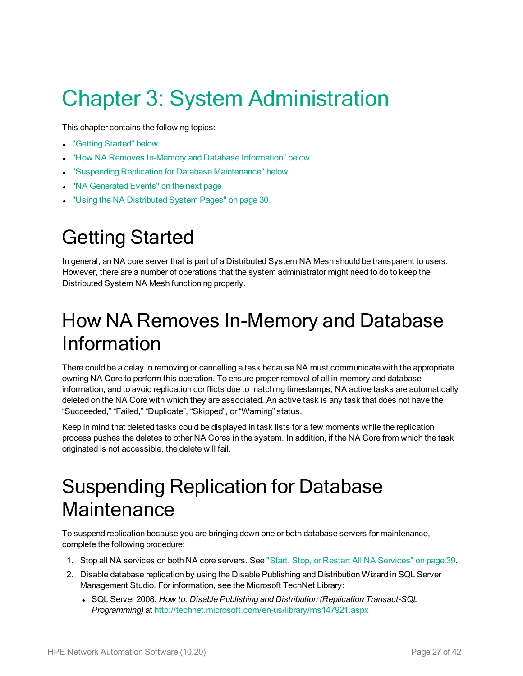# <span id="page-26-0"></span>Chapter 3: System Administration

This chapter contains the following topics:

- ["Getting](#page-26-1) Started" below
- "How NA Removes In-Memory and Database [Information"](#page-26-2) below
- **.** "Suspending Replication for Database [Maintenance"](#page-26-3) below
- "NA [Generated](#page-27-0) Events" on the next page
- <span id="page-26-1"></span>**.** "Using the NA [Distributed](#page-29-0) System Pages" on page 30

# Getting Started

In general, an NA core server that is part of a Distributed System NA Mesh should be transparent to users. However, there are a number of operations that the system administrator might need to do to keep the Distributed System NA Mesh functioning properly.

# <span id="page-26-2"></span>How NA Removes In-Memory and Database Information

There could be a delay in removing or cancelling a task because NA must communicate with the appropriate owning NA Core to perform this operation. To ensure proper removal of all in-memory and database information, and to avoid replication conflicts due to matching timestamps, NA active tasks are automatically deleted on the NA Core with which they are associated. An active task is any task that does not have the "Succeeded," "Failed," "Duplicate", "Skipped", or "Warning" status.

Keep in mind that deleted tasks could be displayed in task lists for a few moments while the replication process pushes the deletes to other NA Cores in the system. In addition, if the NA Core from which the task originated is not accessible, the delete will fail.

# <span id="page-26-3"></span>Suspending Replication for Database **Maintenance**

To suspend replication because you are bringing down one or both database servers for maintenance, complete the following procedure:

- 1. Stop all NA services on both NA core servers. See "Start, Stop, or Restart All NA [Services"](#page-38-1) on page 39.
- 2. Disable database replication by using the Disable Publishing and Distribution Wizard in SQL Server Management Studio. For information, see the Microsoft TechNet Library:
	- <sup>l</sup> SQL Server 2008: *How to: Disable Publishing and Distribution (Replication Transact-SQL Programming)* at <http://technet.microsoft.com/en-us/library/ms147921.aspx>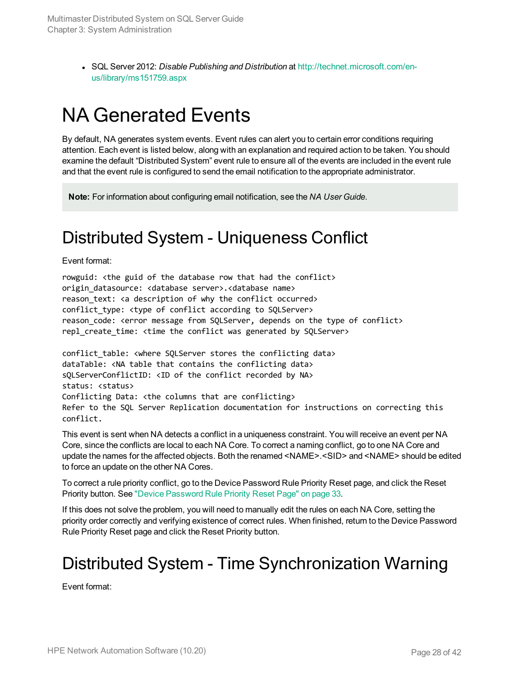<sup>l</sup> SQL Server 2012: *Disable Publishing and Distribution* at [http://technet.microsoft.com/en](http://technet.microsoft.com/en-us/library/ms151759.aspx)[us/library/ms151759.aspx](http://technet.microsoft.com/en-us/library/ms151759.aspx)

## <span id="page-27-0"></span>NA Generated Events

By default, NA generates system events. Event rules can alert you to certain error conditions requiring attention. Each event is listed below, along with an explanation and required action to be taken. You should examine the default "Distributed System" event rule to ensure all of the events are included in the event rule and that the event rule is configured to send the email notification to the appropriate administrator.

<span id="page-27-1"></span>**Note:** For information about configuring email notification, see the *NA User Guide*.

#### Distributed System - Uniqueness Conflict

Event format:

rowguid: <the guid of the database row that had the conflict> origin\_datasource: <database server>.<database name> reason text: <a description of why the conflict occurred> conflict type: <type of conflict according to SQLServer> reason code: <error message from SQLServer, depends on the type of conflict> repl create time: <time the conflict was generated by SQLServer>

conflict table: <where SOLServer stores the conflicting data> dataTable: <NA table that contains the conflicting data> sQLServerConflictID: <ID of the conflict recorded by NA> status: <status> Conflicting Data: <the columns that are conflicting> Refer to the SQL Server Replication documentation for instructions on correcting this conflict.

This event is sent when NA detects a conflict in a uniqueness constraint. You will receive an event per NA Core, since the conflicts are local to each NA Core. To correct a naming conflict, go to one NA Core and update the names for the affected objects. Both the renamed <NAME>.<SID> and <NAME> should be edited to force an update on the other NA Cores.

To correct a rule priority conflict, go to the Device Password Rule Priority Reset page, and click the Reset Priority button. See "Device [Password](#page-32-1) Rule Priority Reset Page" on page 33.

If this does not solve the problem, you will need to manually edit the rules on each NA Core, setting the priority order correctly and verifying existence of correct rules. When finished, return to the Device Password Rule Priority Reset page and click the Reset Priority button.

### <span id="page-27-2"></span>Distributed System - Time Synchronization Warning

Event format: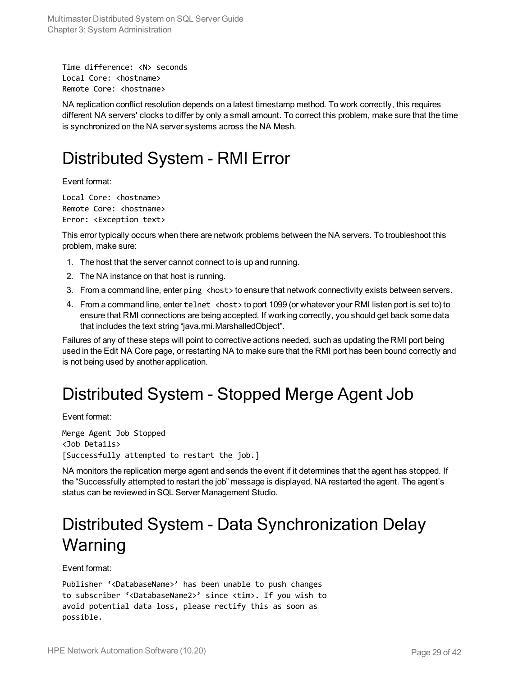```
Time difference: <N> seconds
Local Core: <hostname>
Remote Core: <hostname>
```
NA replication conflict resolution depends on a latest timestamp method. To work correctly, this requires different NA servers' clocks to differ by only a small amount. To correct this problem, make sure that the time is synchronized on the NA server systems across the NA Mesh.

#### <span id="page-28-0"></span>Distributed System - RMI Error

Event format:

```
Local Core: < hostname>
Remote Core: <hostname>
Error: <Exception text>
```
This error typically occurs when there are network problems between the NA servers. To troubleshoot this problem, make sure:

- 1. The host that the server cannot connect to is up and running.
- 2. The NA instance on that host is running.
- 3. From a command line, enter ping <host> to ensure that network connectivity exists between servers.
- 4. From a command line, enter telnet <host> to port 1099 (or whatever your RMI listen port is set to) to ensure that RMI connections are being accepted. If working correctly, you should get back some data that includes the text string "java.rmi.MarshalledObject".

Failures of any of these steps will point to corrective actions needed, such as updating the RMI port being used in the Edit NA Core page, or restarting NA to make sure that the RMI port has been bound correctly and is not being used by another application.

#### <span id="page-28-1"></span>Distributed System - Stopped Merge Agent Job

Event format:

Merge Agent Job Stopped <Job Details> [Successfully attempted to restart the job.]

NA monitors the replication merge agent and sends the event if it determines that the agent has stopped. If the "Successfully attempted to restart the job" message is displayed, NA restarted the agent. The agent's status can be reviewed in SQL Server Management Studio.

### <span id="page-28-2"></span>Distributed System - Data Synchronization Delay Warning

Event format:

```
Publisher '<DatabaseName>' has been unable to push changes
to subscriber '<DatabaseName2>' since <tim>. If you wish to
avoid potential data loss, please rectify this as soon as
possible.
```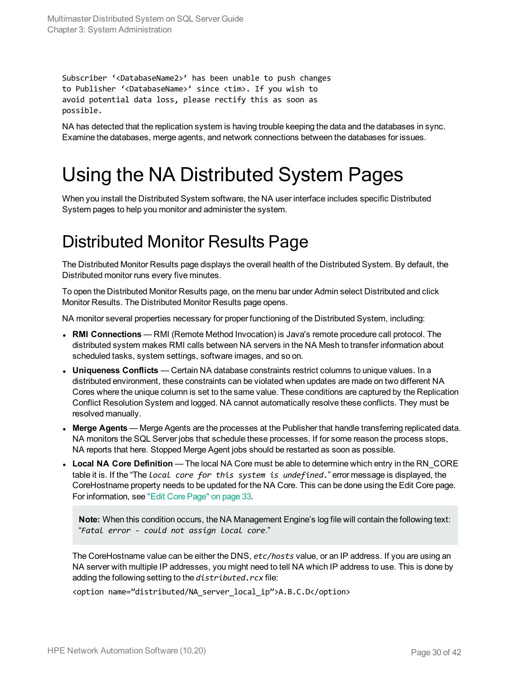Multimaster Distributed System on SQL Server Guide Chapter 3: System Administration

Subscriber '<DatabaseName2>' has been unable to push changes to Publisher '<DatabaseName>' since <tim>. If you wish to avoid potential data loss, please rectify this as soon as possible.

<span id="page-29-0"></span>NA has detected that the replication system is having trouble keeping the data and the databases in sync. Examine the databases, merge agents, and network connections between the databases for issues.

## Using the NA Distributed System Pages

<span id="page-29-1"></span>When you install the Distributed System software, the NA user interface includes specific Distributed System pages to help you monitor and administer the system.

#### Distributed Monitor Results Page

The Distributed Monitor Results page displays the overall health of the Distributed System. By default, the Distributed monitor runs every five minutes.

To open the Distributed Monitor Results page, on the menu bar under Admin select Distributed and click Monitor Results. The Distributed Monitor Results page opens.

NA monitor several properties necessary for proper functioning of the Distributed System, including:

- <sup>l</sup> **RMI Connections** RMI (Remote Method Invocation) is Java's remote procedure call protocol. The distributed system makes RMI calls between NA servers in the NA Mesh to transfer information about scheduled tasks, system settings, software images, and so on.
- **Uniqueness Conflicts** Certain NA database constraints restrict columns to unique values. In a distributed environment, these constraints can be violated when updates are made on two different NA Cores where the unique column is set to the same value. These conditions are captured by the Replication Conflict Resolution System and logged. NA cannot automatically resolve these conflicts. They must be resolved manually.
- **Merge Agents** Merge Agents are the processes at the Publisher that handle transferring replicated data. NA monitors the SQL Server jobs that schedule these processes. If for some reason the process stops, NA reports that here. Stopped Merge Agent jobs should be restarted as soon as possible.
- **Local NA Core Definition** The local NA Core must be able to determine which entry in the RN CORE table it is. If the "The *local core for this system is undefined.*" error message is displayed, the CoreHostname property needs to be updated for the NA Core. This can be done using the Edit Core page. For information, see "Edit Core [Page"](#page-32-0) on page 33.

**Note:** When this condition occurs, the NA Management Engine's log file will contain the following text: "*Fatal error - could not assign local core*."

The CoreHostname value can be either the DNS, *etc/hosts* value, or an IP address. If you are using an NA server with multiple IP addresses, you might need to tell NA which IP address to use. This is done by adding the following setting to the *distributed.rcx* file:

<option name="distributed/NA\_server\_local\_ip">A.B.C.D</option>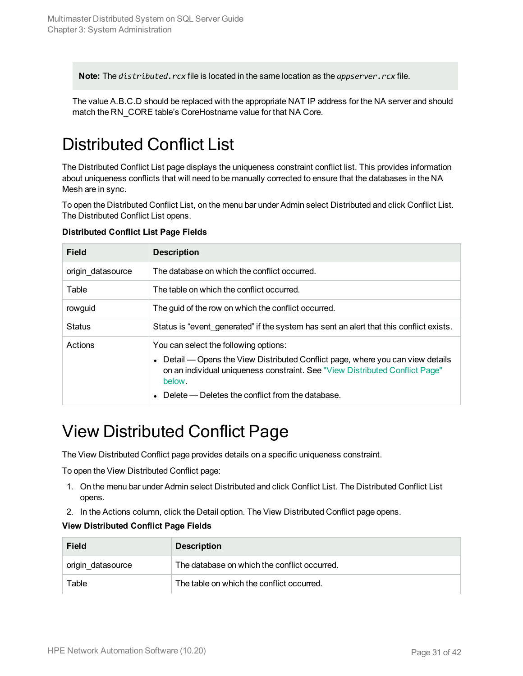**Note:** The *distributed.rcx* file is located in the same location as the *appserver.rcx* file.

<span id="page-30-0"></span>The value A.B.C.D should be replaced with the appropriate NAT IP address for the NA server and should match the RN\_CORE table's CoreHostname value for that NA Core.

### Distributed Conflict List

The Distributed Conflict List page displays the uniqueness constraint conflict list. This provides information about uniqueness conflicts that will need to be manually corrected to ensure that the databases in the NA Mesh are in sync.

To open the Distributed Conflict List, on the menu bar under Admin select Distributed and click Conflict List. The Distributed Conflict List opens.

| <b>Field</b>      | <b>Description</b>                                                                                                                                                                                                                                                                             |
|-------------------|------------------------------------------------------------------------------------------------------------------------------------------------------------------------------------------------------------------------------------------------------------------------------------------------|
| origin datasource | The database on which the conflict occurred.                                                                                                                                                                                                                                                   |
| Table             | The table on which the conflict occurred.                                                                                                                                                                                                                                                      |
| rowguid           | The guid of the row on which the conflict occurred.                                                                                                                                                                                                                                            |
| <b>Status</b>     | Status is "event generated" if the system has sent an alert that this conflict exists.                                                                                                                                                                                                         |
| Actions           | You can select the following options:<br>Detail — Opens the View Distributed Conflict page, where you can view details<br>$\bullet$<br>on an individual uniqueness constraint. See "View Distributed Conflict Page"<br>below.<br>Delete — Deletes the conflict from the database.<br>$\bullet$ |

#### **Distributed Conflict List Page Fields**

#### <span id="page-30-1"></span>View Distributed Conflict Page

The View Distributed Conflict page provides details on a specific uniqueness constraint.

To open the View Distributed Conflict page:

- 1. On the menu bar under Admin select Distributed and click Conflict List. The Distributed Conflict List opens.
- 2. In the Actions column, click the Detail option. The View Distributed Conflict page opens.

#### **View Distributed Conflict Page Fields**

| <b>Field</b>      | <b>Description</b>                           |
|-------------------|----------------------------------------------|
| origin_datasource | The database on which the conflict occurred. |
| Table             | The table on which the conflict occurred.    |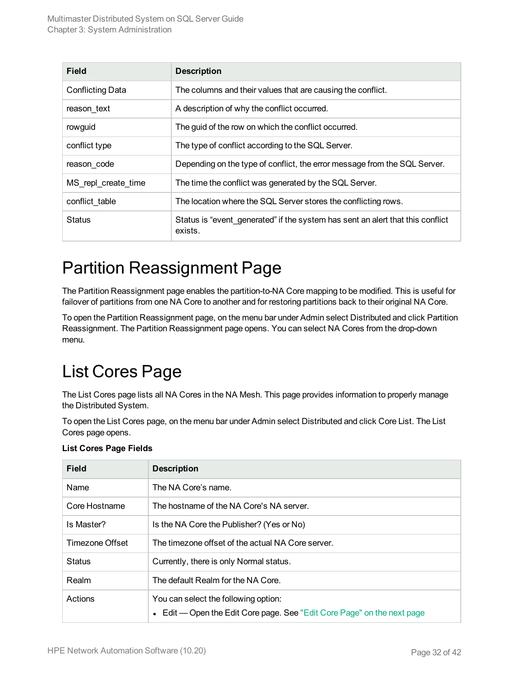| <b>Field</b>            | <b>Description</b>                                                                        |
|-------------------------|-------------------------------------------------------------------------------------------|
| <b>Conflicting Data</b> | The columns and their values that are causing the conflict.                               |
| reason text             | A description of why the conflict occurred.                                               |
| rowguid                 | The guid of the row on which the conflict occurred.                                       |
| conflict type           | The type of conflict according to the SQL Server.                                         |
| reason_code             | Depending on the type of conflict, the error message from the SQL Server.                 |
| MS repl create time     | The time the conflict was generated by the SQL Server.                                    |
| conflict table          | The location where the SQL Server stores the conflicting rows.                            |
| <b>Status</b>           | Status is "event_generated" if the system has sent an alert that this conflict<br>exists. |

### <span id="page-31-0"></span>Partition Reassignment Page

The Partition Reassignment page enables the partition-to-NA Core mapping to be modified. This is useful for failover of partitions from one NA Core to another and for restoring partitions back to their original NA Core.

To open the Partition Reassignment page, on the menu bar under Admin select Distributed and click Partition Reassignment. The Partition Reassignment page opens. You can select NA Cores from the drop-down menu.

## <span id="page-31-1"></span>List Cores Page

The List Cores page lists all NA Cores in the NA Mesh. This page provides information to properly manage the Distributed System.

To open the List Cores page, on the menu bar under Admin select Distributed and click Core List. The List Cores page opens.

| <b>Field</b>    | <b>Description</b>                                                                                              |
|-----------------|-----------------------------------------------------------------------------------------------------------------|
| Name            | The NA Core's name.                                                                                             |
| Core Hostname   | The hostname of the NA Core's NA server.                                                                        |
| Is Master?      | Is the NA Core the Publisher? (Yes or No)                                                                       |
| Timezone Offset | The timezone offset of the actual NA Core server.                                                               |
| <b>Status</b>   | Currently, there is only Normal status.                                                                         |
| Realm           | The default Realm for the NA Core.                                                                              |
| Actions         | You can select the following option:<br>• Edit — Open the Edit Core page. See "Edit Core Page" on the next page |

#### **List Cores Page Fields**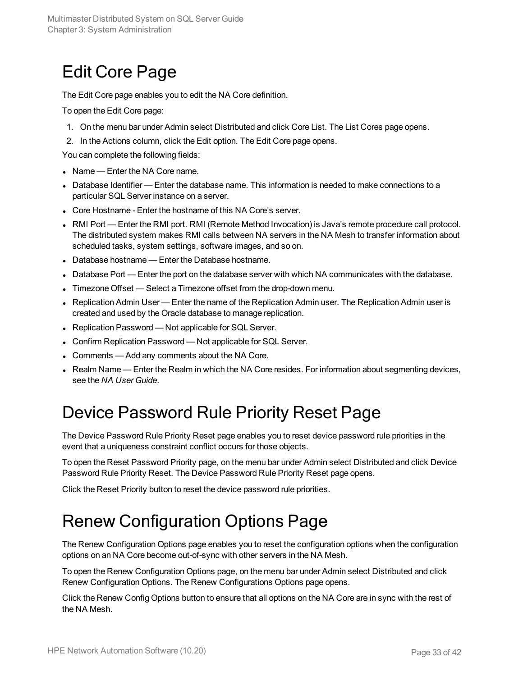### <span id="page-32-0"></span>Edit Core Page

The Edit Core page enables you to edit the NA Core definition.

To open the Edit Core page:

- 1. On the menu bar under Admin select Distributed and click Core List. The List Cores page opens.
- 2. In the Actions column, click the Edit option. The Edit Core page opens.

You can complete the following fields:

- $\bullet$  Name Enter the NA Core name.
- Database Identifier Enter the database name. This information is needed to make connections to a particular SQL Server instance on a server.
- Core Hostname Enter the hostname of this NA Core's server.
- RMI Port Enter the RMI port. RMI (Remote Method Invocation) is Java's remote procedure call protocol. The distributed system makes RMI calls between NA servers in the NA Mesh to transfer information about scheduled tasks, system settings, software images, and so on.
- Database hostname Enter the Database hostname.
- Database Port Enter the port on the database server with which NA communicates with the database.
- Timezone Offset Select a Timezone offset from the drop-down menu.
- Replication Admin User Enter the name of the Replication Admin user. The Replication Admin user is created and used by the Oracle database to manage replication.
- Replication Password Not applicable for SQL Server.
- Confirm Replication Password Not applicable for SQL Server.
- Comments Add any comments about the NA Core.
- <span id="page-32-1"></span>• Realm Name — Enter the Realm in which the NA Core resides. For information about segmenting devices, see the *NA User Guide*.

### Device Password Rule Priority Reset Page

The Device Password Rule Priority Reset page enables you to reset device password rule priorities in the event that a uniqueness constraint conflict occurs for those objects.

To open the Reset Password Priority page, on the menu bar under Admin select Distributed and click Device Password Rule Priority Reset. The Device Password Rule Priority Reset page opens.

<span id="page-32-2"></span>Click the Reset Priority button to reset the device password rule priorities.

### Renew Configuration Options Page

The Renew Configuration Options page enables you to reset the configuration options when the configuration options on an NA Core become out-of-sync with other servers in the NA Mesh.

To open the Renew Configuration Options page, on the menu bar under Admin select Distributed and click Renew Configuration Options. The Renew Configurations Options page opens.

Click the Renew Config Options button to ensure that all options on the NA Core are in sync with the rest of the NA Mesh.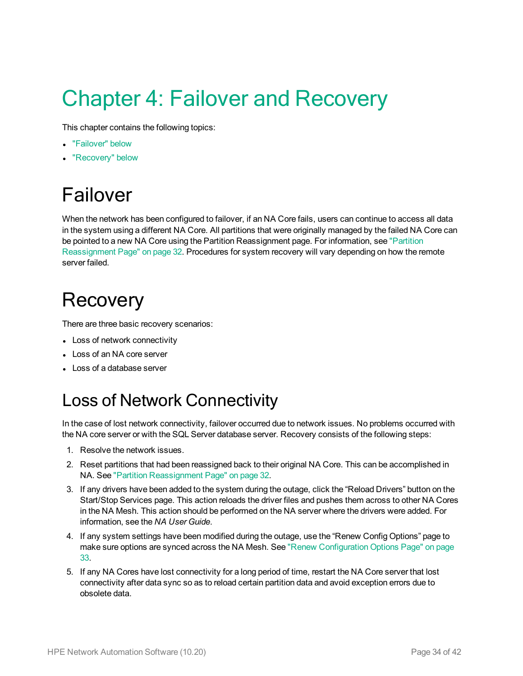# <span id="page-33-0"></span>Chapter 4: Failover and Recovery

This chapter contains the following topics:

- ["Failover"](#page-33-1) below
- <span id="page-33-1"></span>• ["Recovery"](#page-33-2) below

# Failover

When the network has been configured to failover, if an NA Core fails, users can continue to access all data in the system using a different NA Core. All partitions that were originally managed by the failed NA Core can be pointed to a new NA Core using the Partition Reassignment page. For information, see ["Partition](#page-31-0) [Reassignment](#page-31-0) Page" on page 32. Procedures for system recovery will vary depending on how the remote server failed.

# <span id="page-33-2"></span>**Recovery**

There are three basic recovery scenarios:

- Loss of network connectivity
- Loss of an NA core server
- <span id="page-33-3"></span>• Loss of a database server

### Loss of Network Connectivity

In the case of lost network connectivity, failover occurred due to network issues. No problems occurred with the NA core server or with the SQL Server database server. Recovery consists of the following steps:

- 1. Resolve the network issues.
- 2. Reset partitions that had been reassigned back to their original NA Core. This can be accomplished in NA. See "Partition [Reassignment](#page-31-0) Page" on page 32.
- 3. If any drivers have been added to the system during the outage, click the "Reload Drivers" button on the Start/Stop Services page. This action reloads the driver files and pushes them across to other NA Cores in the NA Mesh. This action should be performed on the NA server where the drivers were added. For information, see the *NA User Guide*.
- 4. If any system settings have been modified during the outage, use the "Renew Config Options" page to make sure options are synced across the NA Mesh. See "Renew [Configuration](#page-32-2) Options Page" on page [33](#page-32-2).
- 5. If any NA Cores have lost connectivity for a long period of time, restart the NA Core server that lost connectivity after data sync so as to reload certain partition data and avoid exception errors due to obsolete data.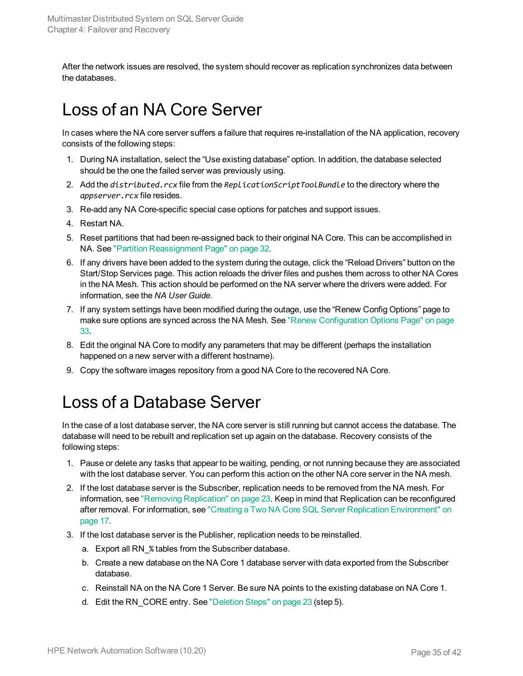<span id="page-34-0"></span>After the network issues are resolved, the system should recover as replication synchronizes data between the databases.

### Loss of an NA Core Server

In cases where the NA core server suffers a failure that requires re-installation of the NA application, recovery consists of the following steps:

- 1. During NA installation, select the "Use existing database" option. In addition, the database selected should be the one the failed server was previously using.
- 2. Add the *distributed.rcx* file from the *ReplicationScriptToolBundle* to the directory where the *appserver.rcx* file resides.
- 3. Re-add any NA Core-specific special case options for patches and support issues.
- 4. Restart NA.
- 5. Reset partitions that had been re-assigned back to their original NA Core. This can be accomplished in NA. See "Partition [Reassignment](#page-31-0) Page" on page 32.
- 6. If any drivers have been added to the system during the outage, click the "Reload Drivers" button on the Start/Stop Services page. This action reloads the driver files and pushes them across to other NA Cores in the NA Mesh. This action should be performed on the NA server where the drivers were added. For information, see the *NA User Guide*.
- 7. If any system settings have been modified during the outage, use the "Renew Config Options" page to make sure options are synced across the NA Mesh. See "Renew [Configuration](#page-32-2) Options Page" on page [33](#page-32-2).
- 8. Edit the original NA Core to modify any parameters that may be different (perhaps the installation happened on a new server with a different hostname).
- <span id="page-34-1"></span>9. Copy the software images repository from a good NA Core to the recovered NA Core.

#### Loss of a Database Server

In the case of a lost database server, the NA core server is still running but cannot access the database. The database will need to be rebuilt and replication set up again on the database. Recovery consists of the following steps:

- 1. Pause or delete any tasks that appear to be waiting, pending, or not running because they are associated with the lost database server. You can perform this action on the other NA core server in the NA mesh.
- 2. If the lost database server is the Subscriber, replication needs to be removed from the NA mesh. For information, see "Removing [Replication"](#page-22-0) on page 23. Keep in mind that Replication can be reconfigured after removal. For information, see "Creating a Two NA Core SQL Server Replication [Environment"](#page-16-0) on [page](#page-16-0) 17.
- 3. If the lost database server is the Publisher, replication needs to be reinstalled.
	- a. Export all RN\_% tables from the Subscriber database.
	- b. Create a new database on the NA Core 1 database server with data exported from the Subscriber database.
	- c. Reinstall NA on the NA Core 1 Server. Be sure NA points to the existing database on NA Core 1.
	- d. Edit the RN CORE entry. See ["Deletion](#page-22-2) Steps" on page 23 (step 5).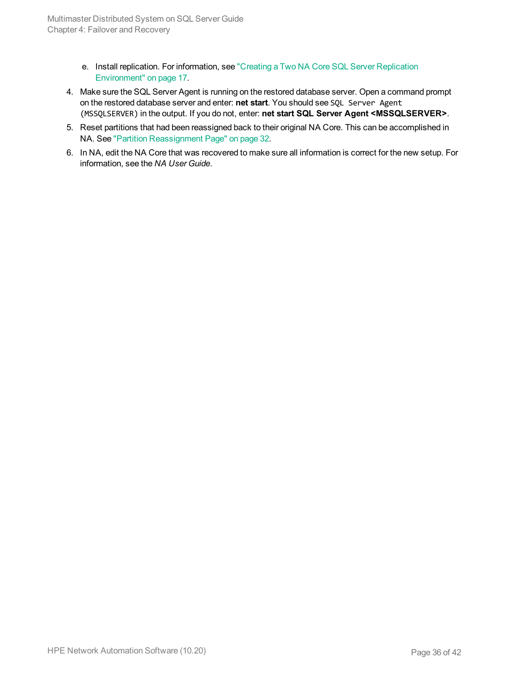- e. Install replication. For information, see "Creating a Two NA Core SQL Server [Replication](#page-16-0) [Environment"](#page-16-0) on page 17.
- 4. Make sure the SQL Server Agent is running on the restored database server. Open a command prompt on the restored database server and enter: **net start**. You should see SQL Server Agent (MSSQLSERVER) in the output. If you do not, enter: **net start SQL Server Agent <MSSQLSERVER>**.
- 5. Reset partitions that had been reassigned back to their original NA Core. This can be accomplished in NA. See "Partition [Reassignment](#page-31-0) Page" on page 32.
- 6. In NA, edit the NA Core that was recovered to make sure all information is correct for the new setup. For information, see the *NA User Guide*.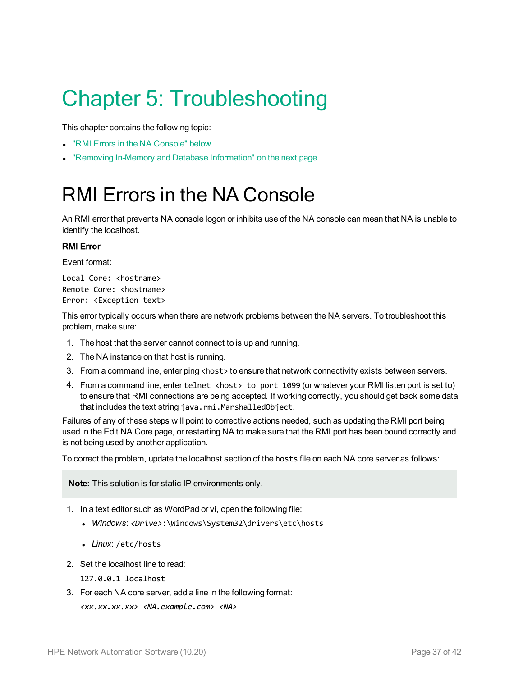# <span id="page-36-0"></span>Chapter 5: Troubleshooting

This chapter contains the following topic:

- "RMI Errors in the NA [Console"](#page-36-1) below
- <span id="page-36-1"></span>• "Removing In-Memory and Database [Information"](#page-37-0) on the next page

# RMI Errors in the NA Console

An RMI error that prevents NA console logon or inhibits use of the NA console can mean that NA is unable to identify the localhost.

#### RMI Error

Event format:

```
Local Core: <hostname>
Remote Core: <hostname>
Error: <Exception text>
```
This error typically occurs when there are network problems between the NA servers. To troubleshoot this problem, make sure:

- 1. The host that the server cannot connect to is up and running.
- 2. The NA instance on that host is running.
- 3. From a command line, enter ping <host> to ensure that network connectivity exists between servers.
- 4. From a command line, enter telnet <host> to port 1099 (or whatever your RMI listen port is set to) to ensure that RMI connections are being accepted. If working correctly, you should get back some data that includes the text string java.rmi.MarshalledObject.

Failures of any of these steps will point to corrective actions needed, such as updating the RMI port being used in the Edit NA Core page, or restarting NA to make sure that the RMI port has been bound correctly and is not being used by another application.

To correct the problem, update the localhost section of the hosts file on each NA core server as follows:

**Note:** This solution is for static IP environments only.

- 1. In a text editor such as WordPad or vi, open the following file:
	- <sup>l</sup> *Windows*: *<Drive>*:\Windows\System32\drivers\etc\hosts
	- Linux: /etc/hosts
- 2. Set the localhost line to read:
	- 127.0.0.1 localhost
- <span id="page-36-2"></span>3. For each NA core server, add a line in the following format:

*<xx.xx.xx.xx> <NA.example.com> <NA>*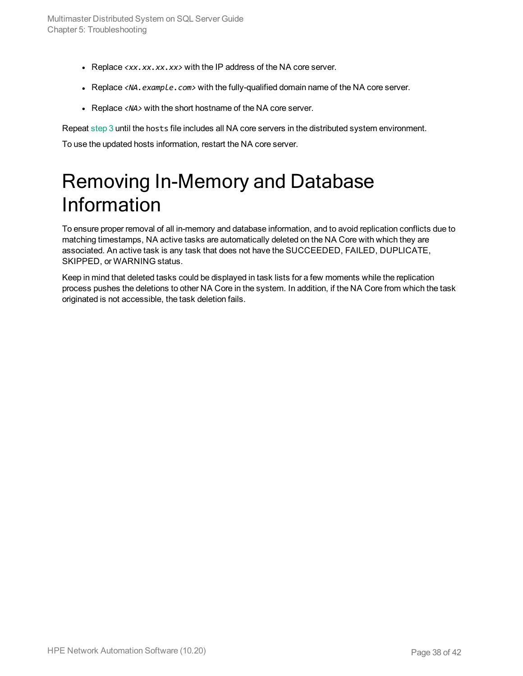- Replace  $\langle xx, xx, xx, xx \rangle$  with the IP address of the NA core server.
- Replace <NA. example. com> with the fully-qualified domain name of the NA core server.
- Replace <NA> with the short hostname of the NA core server.

Repeat [step 3](#page-36-2) until the hosts file includes all NA core servers in the distributed system environment.

<span id="page-37-0"></span>To use the updated hosts information, restart the NA core server.

# Removing In-Memory and Database Information

To ensure proper removal of all in-memory and database information, and to avoid replication conflicts due to matching timestamps, NA active tasks are automatically deleted on the NA Core with which they are associated. An active task is any task that does not have the SUCCEEDED, FAILED, DUPLICATE, SKIPPED, or WARNING status.

Keep in mind that deleted tasks could be displayed in task lists for a few moments while the replication process pushes the deletions to other NA Core in the system. In addition, if the NA Core from which the task originated is not accessible, the task deletion fails.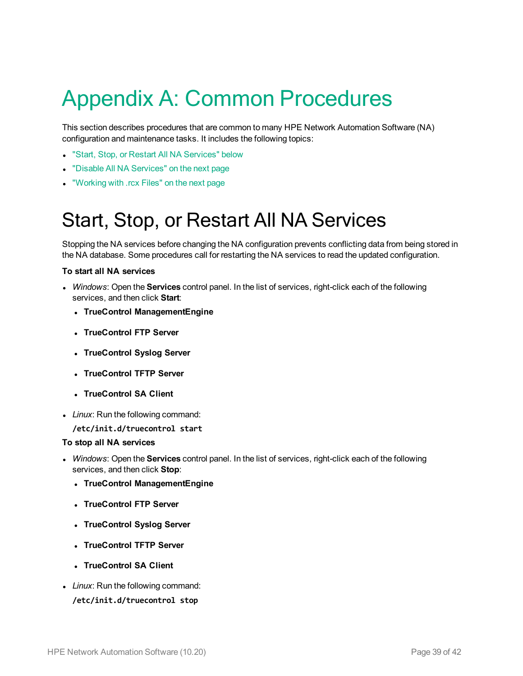# <span id="page-38-0"></span>Appendix A: Common Procedures

This section describes procedures that are common to many HPE Network Automation Software (NA) configuration and maintenance tasks. It includes the following topics:

- **.** "Start, Stop, or Restart All NA [Services"](#page-38-1) below
- <sup>l</sup> "Disable All NA [Services"](#page-39-0) on the next page
- <span id="page-38-1"></span>• ["Working](#page-39-1) with .rcx Files" on the next page

# Start, Stop, or Restart All NA Services

Stopping the NA services before changing the NA configuration prevents conflicting data from being stored in the NA database. Some procedures call for restarting the NA services to read the updated configuration.

#### **To start all NA services**

- <sup>l</sup> *Windows*: Open the **Services** control panel. In the list of services, right-click each of the following services, and then click **Start**:
	- <sup>l</sup> **TrueControl ManagementEngine**
	- <sup>l</sup> **TrueControl FTP Server**
	- <sup>l</sup> **TrueControl Syslog Server**
	- <sup>l</sup> **TrueControl TFTP Server**
	- <sup>l</sup> **TrueControl SA Client**
- Linux: Run the following command:

**/etc/init.d/truecontrol start**

#### **To stop all NA services**

- <sup>l</sup> *Windows*: Open the **Services** control panel. In the list of services, right-click each of the following services, and then click **Stop**:
	- <sup>l</sup> **TrueControl ManagementEngine**
	- <sup>l</sup> **TrueControl FTP Server**
	- <sup>l</sup> **TrueControl Syslog Server**
	- <sup>l</sup> **TrueControl TFTP Server**
	- <sup>l</sup> **TrueControl SA Client**
- Linux: Run the following command:

**/etc/init.d/truecontrol stop**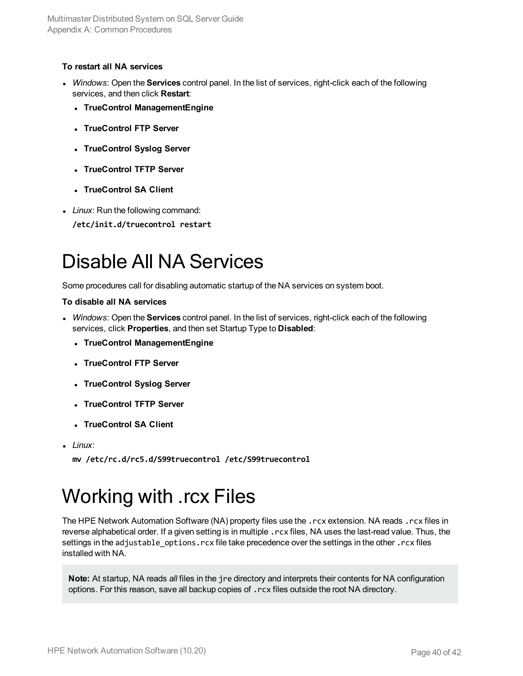#### **To restart all NA services**

- <sup>l</sup> *Windows*: Open the **Services** control panel. In the list of services, right-click each of the following services, and then click **Restart**:
	- <sup>l</sup> **TrueControl ManagementEngine**
	- <sup>l</sup> **TrueControl FTP Server**
	- <sup>l</sup> **TrueControl Syslog Server**
	- <sup>l</sup> **TrueControl TFTP Server**
	- <sup>l</sup> **TrueControl SA Client**
- <span id="page-39-0"></span>• Linux: Run the following command:
	- **/etc/init.d/truecontrol restart**

# Disable All NA Services

Some procedures call for disabling automatic startup of the NA services on system boot.

#### **To disable all NA services**

- <sup>l</sup> *Windows*: Open the **Services** control panel. In the list of services, right-click each of the following services, click **Properties**, and then set Startup Type to **Disabled**:
	- <sup>l</sup> **TrueControl ManagementEngine**
	- <sup>l</sup> **TrueControl FTP Server**
	- <sup>l</sup> **TrueControl Syslog Server**
	- <sup>l</sup> **TrueControl TFTP Server**
	- <sup>l</sup> **TrueControl SA Client**
- <sup>l</sup> *Linux*:

<span id="page-39-1"></span>**mv /etc/rc.d/rc5.d/S99truecontrol /etc/S99truecontrol**

# Working with .rcx Files

The HPE Network Automation Software (NA) property files use the .rcx extension. NA reads .rcx files in reverse alphabetical order. If a given setting is in multiple .rcx files, NA uses the last-read value. Thus, the settings in the adjustable options.rcx file take precedence over the settings in the other .rcx files installed with NA.

**Note:** At startup, NA reads *all* files in the jre directory and interprets their contents for NA configuration options. For this reason, save all backup copies of .rcx files outside the root NA directory.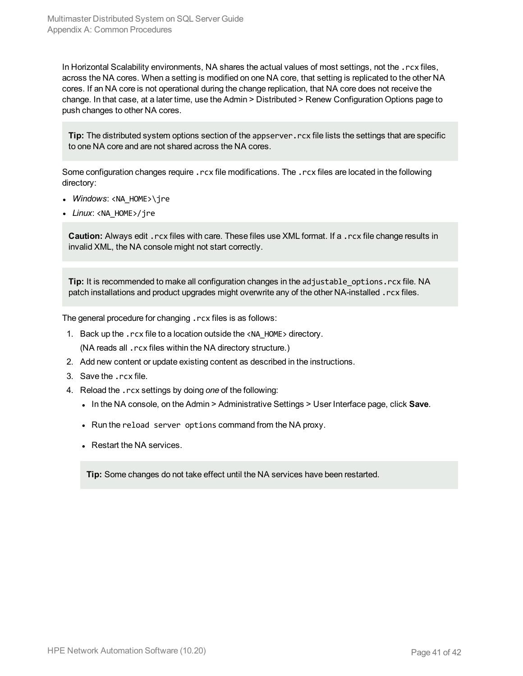In Horizontal Scalability environments, NA shares the actual values of most settings, not the .rcx files, across the NA cores. When a setting is modified on one NA core, that setting is replicated to the other NA cores. If an NA core is not operational during the change replication, that NA core does not receive the change. In that case, at a later time, use the Admin > Distributed > Renew Configuration Options page to push changes to other NA cores.

**Tip:** The distributed system options section of the appserver.rcx file lists the settings that are specific to one NA core and are not shared across the NA cores.

Some configuration changes require .rcx file modifications. The .rcx files are located in the following directory:

- *Windows*: <NA\_HOME>\ire
- Linux: <NA HOME>/jre

**Caution:** Always edit .rcx files with care. These files use XML format. If a .rcx file change results in invalid XML, the NA console might not start correctly.

**Tip:** It is recommended to make all configuration changes in the adjustable\_options.rcx file. NA patch installations and product upgrades might overwrite any of the other NA-installed . rcx files.

The general procedure for changing .rcx files is as follows:

- 1. Back up the .rcx file to a location outside the <NA\_HOME> directory. (NA reads all .rcx files within the NA directory structure.)
- 2. Add new content or update existing content as described in the instructions.
- 3. Save the .rcx file.
- 4. Reload the .rcx settings by doing *one* of the following:
	- <sup>l</sup> In the NA console, on the Admin > Administrative Settings > User Interface page, click **Save**.
	- Run the reload server options command from the NA proxy.
	- Restart the NA services.

**Tip:** Some changes do not take effect until the NA services have been restarted.